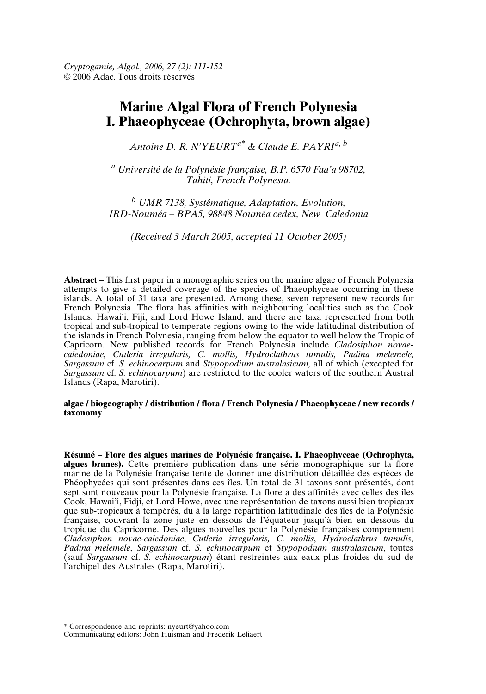# **Marine Algal Flora of French Polynesia I. Phaeophyceae (Ochrophyta, brown algae)**

*Antoine D. R. N'YEURTa\* & Claude E. PAYRIa, <sup>b</sup>*

*<sup>a</sup> Université de la Polynésie française, B.P. 6570 Faa'a 98702, Tahiti, French Polynesia.*

*<sup>b</sup> UMR 7138, Systématique, Adaptation, Evolution, IRD-Nouméa – BPA5, 98848 Nouméa cedex, New Caledonia*

*(Received 3 March 2005, accepted 11 October 2005)*

**Abstract** – This first paper in a monographic series on the marine algae of French Polynesia attempts to give a detailed coverage of the species of Phaeophyceae occurring in these islands. A total of 31 taxa are presented. Among these, seven represent new records for French Polynesia. The flora has affinities with neighbouring localities such as the Cook Islands, Hawai'i, Fiji, and Lord Howe Island, and there are taxa represented from both tropical and sub-tropical to temperate regions owing to the wide latitudinal distribution of the islands in French Polynesia, ranging from below the equator to well below the Tropic of Capricorn. New published records for French Polynesia include *Cladosiphon novaecaledoniae, Cutleria irregularis, C. mollis, Hydroclathrus tumulis, Padina melemele, Sargassum* cf. *S. echinocarpum* and *Stypopodium australasicum,* all of which (excepted for *Sargassum* cf. *S. echinocarpum*) are restricted to the cooler waters of the southern Austral Islands (Rapa, Marotiri).

#### **algae / biogeography / distribution / flora / French Polynesia / Phaeophyceae / new records / taxonomy**

**Résumé** – **Flore des algues marines de Polynésie française. I. Phaeophyceae (Ochrophyta, algues brunes).** Cette première publication dans une série monographique sur la flore marine de la Polynésie française tente de donner une distribution détaillée des espèces de Phéophycées qui sont présentes dans ces îles. Un total de 31 taxons sont présentés, dont sept sont nouveaux pour la Polynésie française. La flore a des affinités avec celles des îles Cook, Hawai'i, Fidji, et Lord Howe, avec une représentation de taxons aussi bien tropicaux que sub-tropicaux à tempérés, du à la large répartition latitudinale des îles de la Polynésie française, couvrant la zone juste en dessous de l'équateur jusqu'à bien en dessous du tropique du Capricorne. Des algues nouvelles pour la Polynésie françaises comprennent *Cladosiphon novae-caledoniae*, *Cutleria irregularis, C. mollis*, *Hydroclathrus tumulis*, *Padina melemele*, *Sargassum* cf. *S. echinocarpum* et *Stypopodium australasicum*, toutes (sauf *Sargassum* cf. *S. echinocarpum*) étant restreintes aux eaux plus froides du sud de l'archipel des Australes (Rapa, Marotiri).

<sup>\*</sup> Correspondence and reprints: nyeurt@yahoo.com

Communicating editors: John Huisman and Frederik Leliaert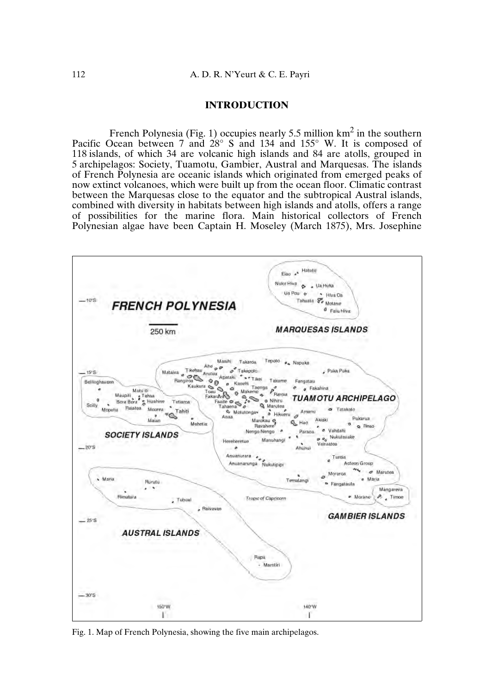#### **INTRODUCTION**

French Polynesia (Fig. 1) occupies nearly 5.5 million  $km^2$  in the southern Pacific Ocean between 7 and 28° S and 134 and 155° W. It is composed of 118 islands, of which 34 are volcanic high islands and 84 are atolls, grouped in 5 archipelagos: Society, Tuamotu, Gambier, Austral and Marquesas. The islands of French Polynesia are oceanic islands which originated from emerged peaks of now extinct volcanoes, which were built up from the ocean floor. Climatic contrast between the Marquesas close to the equator and the subtropical Austral islands, combined with diversity in habitats between high islands and atolls, offers a range of possibilities for the marine flora. Main historical collectors of French Polynesian algae have been Captain H. Moseley (March 1875), Mrs. Josephine



Fig. 1. Map of French Polynesia, showing the five main archipelagos.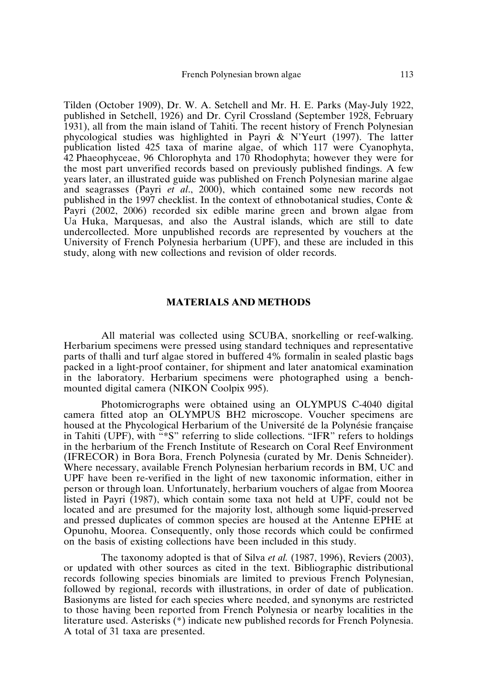Tilden (October 1909), Dr. W. A. Setchell and Mr. H. E. Parks (May-July 1922, published in Setchell, 1926) and Dr. Cyril Crossland (September 1928, February 1931), all from the main island of Tahiti. The recent history of French Polynesian phycological studies was highlighted in Payri & N'Yeurt (1997). The latter publication listed 425 taxa of marine algae, of which 117 were Cyanophyta, 42 Phaeophyceae, 96 Chlorophyta and 170 Rhodophyta; however they were for the most part unverified records based on previously published findings. A few years later, an illustrated guide was published on French Polynesian marine algae and seagrasses (Payri *et al*., 2000), which contained some new records not published in the 1997 checklist. In the context of ethnobotanical studies, Conte & Payri (2002, 2006) recorded six edible marine green and brown algae from Ua Huka, Marquesas, and also the Austral islands, which are still to date undercollected. More unpublished records are represented by vouchers at the University of French Polynesia herbarium (UPF), and these are included in this study, along with new collections and revision of older records.

## **MATERIALS AND METHODS**

All material was collected using SCUBA, snorkelling or reef-walking. Herbarium specimens were pressed using standard techniques and representative parts of thalli and turf algae stored in buffered 4% formalin in sealed plastic bags packed in a light-proof container, for shipment and later anatomical examination in the laboratory. Herbarium specimens were photographed using a benchmounted digital camera (NIKON Coolpix 995).

Photomicrographs were obtained using an OLYMPUS C-4040 digital camera fitted atop an OLYMPUS BH2 microscope. Voucher specimens are housed at the Phycological Herbarium of the Université de la Polynésie française in Tahiti (UPF), with "\*S" referring to slide collections. "IFR" refers to holdings in the herbarium of the French Institute of Research on Coral Reef Environment (IFRECOR) in Bora Bora, French Polynesia (curated by Mr. Denis Schneider). Where necessary, available French Polynesian herbarium records in BM, UC and UPF have been re-verified in the light of new taxonomic information, either in person or through loan. Unfortunately, herbarium vouchers of algae from Moorea listed in Payri (1987), which contain some taxa not held at UPF, could not be located and are presumed for the majority lost, although some liquid-preserved and pressed duplicates of common species are housed at the Antenne EPHE at Opunohu, Moorea. Consequently, only those records which could be confirmed on the basis of existing collections have been included in this study.

The taxonomy adopted is that of Silva *et al.* (1987, 1996), Reviers (2003), or updated with other sources as cited in the text. Bibliographic distributional records following species binomials are limited to previous French Polynesian, followed by regional, records with illustrations, in order of date of publication. Basionyms are listed for each species where needed, and synonyms are restricted to those having been reported from French Polynesia or nearby localities in the literature used. Asterisks (\*) indicate new published records for French Polynesia. A total of 31 taxa are presented.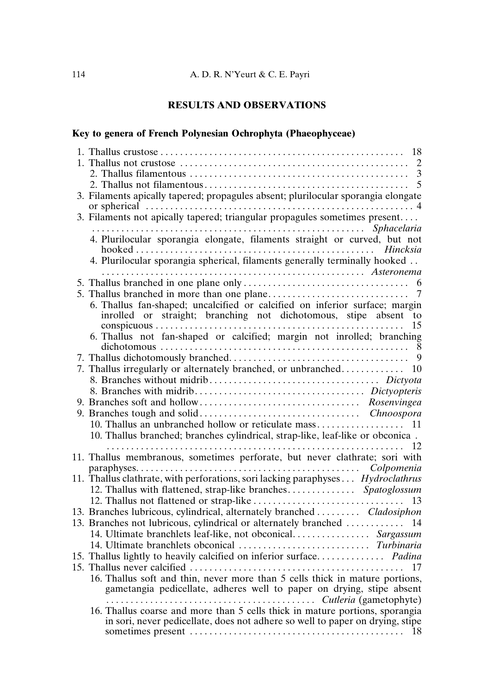# **RESULTS AND OBSERVATIONS**

## **Key to genera of French Polynesian Ochrophyta (Phaeophyceae)**

| 18                                                                                                                                                 |
|----------------------------------------------------------------------------------------------------------------------------------------------------|
| 2                                                                                                                                                  |
|                                                                                                                                                    |
| 5                                                                                                                                                  |
| 3. Filaments apically tapered; propagules absent; plurilocular sporangia elongate                                                                  |
| 3. Filaments not apically tapered; triangular propagules sometimes present                                                                         |
| 4. Plurilocular sporangia elongate, filaments straight or curved, but not                                                                          |
|                                                                                                                                                    |
|                                                                                                                                                    |
| 4. Plurilocular sporangia spherical, filaments generally terminally hooked                                                                         |
| Asteronema                                                                                                                                         |
|                                                                                                                                                    |
| $\tau$                                                                                                                                             |
| 6. Thallus fan-shaped; uncalcified or calcified on inferior surface; margin<br>inrolled or straight; branching not dichotomous, stipe absent<br>to |
| 15                                                                                                                                                 |
| 6. Thallus not fan-shaped or calcified; margin not inrolled; branching                                                                             |
|                                                                                                                                                    |
|                                                                                                                                                    |
| 7. Thallus irregularly or alternately branched, or unbranched 10                                                                                   |
|                                                                                                                                                    |
|                                                                                                                                                    |
|                                                                                                                                                    |
|                                                                                                                                                    |
|                                                                                                                                                    |
| 10. Thallus branched; branches cylindrical, strap-like, leaf-like or obconica.                                                                     |
|                                                                                                                                                    |
| 11. Thallus membranous, sometimes perforate, but never clathrate; sori with                                                                        |
|                                                                                                                                                    |
| 11. Thallus clathrate, with perforations, sori lacking paraphyses Hydroclathrus                                                                    |
| 12. Thallus with flattened, strap-like branches Spatoglossum                                                                                       |
|                                                                                                                                                    |
| 13. Branches lubricous, cylindrical, alternately branched  Cladosiphon                                                                             |
| 13. Branches not lubricous, cylindrical or alternately branched  14                                                                                |
| 14. Ultimate branchlets leaf-like, not obconical Sargassum                                                                                         |
|                                                                                                                                                    |
| 15. Thallus lightly to heavily calcified on inferior surface Padina                                                                                |
| 17                                                                                                                                                 |
| 16. Thallus soft and thin, never more than 5 cells thick in mature portions,                                                                       |
| gametangia pedicellate, adheres well to paper on drying, stipe absent                                                                              |
| Cutleria (gametophyte)                                                                                                                             |
| 16. Thallus coarse and more than 5 cells thick in mature portions, sporangia                                                                       |
| in sori, never pedicellate, does not adhere so well to paper on drying, stipe                                                                      |
|                                                                                                                                                    |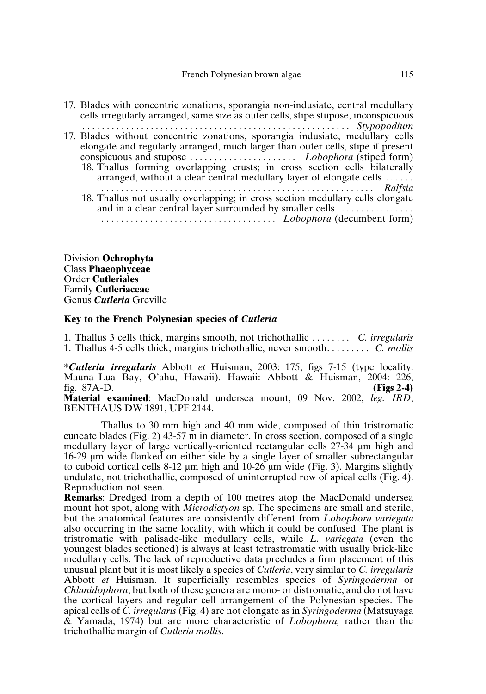17. Blades with concentric zonations, sporangia non-indusiate, central medullary cells irregularly arranged, same size as outer cells, stipe stupose, inconspicuous . . . . . . . . . . . . . . . . . . . . . . . . . . . . . . . . . . . . . . . . . . . . . . . . . . . . . . . *Stypopodium* 17. Blades without concentric zonations, sporangia indusiate, medullary cells elongate and regularly arranged, much larger than outer cells, stipe if present conspicuous and stupose . . . . . . . . . . . . . . . . . . . . . . *Lobophora* (stiped form) 18. Thallus forming overlapping crusts; in cross section cells bilaterally arranged, without a clear central medullary layer of elongate cells . . . . . . *. . . . . . . . . . . . . . . . . . . . . . . . . . . . . . . . . . . . . . . . . . . . . . . . . . . . . . . . Ralfsia* 18. Thallus not usually overlapping; in cross section medullary cells elongate and in a clear central layer surrounded by smaller cells . . . . . . . . . . . . . . . . *. . . . . . . . . . . . . . . . . . . . . . . . . . . . . . . . . . . . Lobophora* (decumbent form)

Division **Ochrophyta** Class **Phaeophyceae** Order **Cutleriales** Family **Cutleriaceae** Genus *Cutleria* Greville

#### **Key to the French Polynesian species of** *Cutleria*

1. Thallus 3 cells thick, margins smooth, not trichothallic . . . . . . . . *C. irregularis* 1. Thallus 4-5 cells thick, margins trichothallic, never smooth. . . . . . . . . *C. mollis*

**\****Cutleria irregularis* Abbott *et* Huisman, 2003: 175, figs 7-15 (type locality: Mauna Lua Bay, O'ahu, Hawaii). Hawaii: Abbott & Huisman, 2004: 226, fig. 87A-D. **(Figs 2-4)**

**Material examined**: MacDonald undersea mount, 09 Nov. 2002, *leg. IRD*, BENTHAUS DW 1891, UPF 2144.

Thallus to 30 mm high and 40 mm wide, composed of thin tristromatic cuneate blades (Fig. 2) 43-57 m in diameter. In cross section, composed of a single medullary layer of large vertically-oriented rectangular cells 27-34 µm high and 16-29 µm wide flanked on either side by a single layer of smaller subrectangular to cuboid cortical cells 8-12 µm high and 10-26 µm wide (Fig. 3). Margins slightly undulate, not trichothallic, composed of uninterrupted row of apical cells (Fig. 4). Reproduction not seen.

**Remarks**: Dredged from a depth of 100 metres atop the MacDonald undersea mount hot spot, along with *Microdictyon* sp. The specimens are small and sterile, but the anatomical features are consistently different from *Lobophora variegata* also occurring in the same locality, with which it could be confused. The plant is tristromatic with palisade-like medullary cells, while *L. variegata* (even the youngest blades sectioned) is always at least tetrastromatic with usually brick-like medullary cells. The lack of reproductive data precludes a firm placement of this unusual plant but it is most likely a species of *Cutleria*, very similar to *C. irregularis* Abbott *et* Huisman. It superficially resembles species of *Syringoderma* or *Chlanidophora*, but both of these genera are mono- or distromatic, and do not have the cortical layers and regular cell arrangement of the Polynesian species. The apical cells of *C. irregularis* (Fig. 4) are not elongate as in*Syringoderma* (Matsuyaga & Yamada, 1974) but are more characteristic of *Lobophora,* rather than the trichothallic margin of *Cutleria mollis*.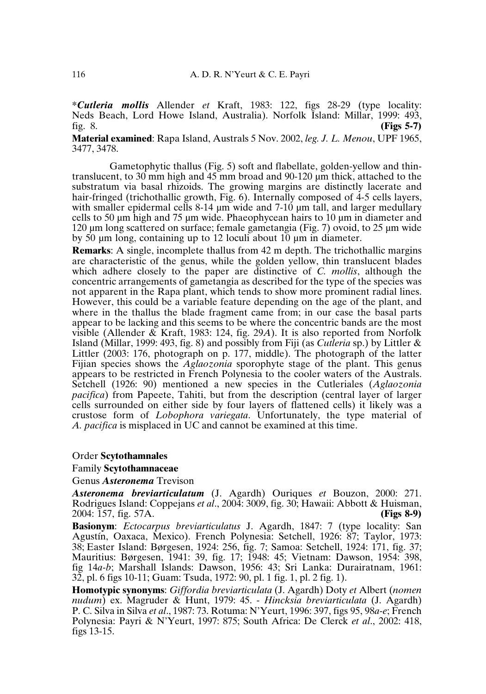**\****Cutleria mollis* Allender *et* Kraft, 1983: 122, figs 28-29 (type locality: Neds Beach, Lord Howe Island, Australia). Norfolk Island: Millar, 1999: 493, fig. 8. fig. 8. **(Figs 5-7)**

**Material examined**: Rapa Island, Australs 5 Nov. 2002, *leg. J. L. Menou*, UPF 1965, 3477, 3478.

Gametophytic thallus (Fig. 5) soft and flabellate, golden-yellow and thintranslucent, to 30 mm high and 45 mm broad and 90-120 µm thick, attached to the substratum via basal rhizoids. The growing margins are distinctly lacerate and hair-fringed (trichothallic growth, Fig. 6). Internally composed of 4-5 cells layers, with smaller epidermal cells 8-14  $\mu$ m wide and 7-10  $\mu$ m tall, and larger medullary cells to 50 µm high and 75 µm wide. Phaeophycean hairs to 10 µm in diameter and 120 µm long scattered on surface; female gametangia (Fig. 7) ovoid, to 25 µm wide by 50 µm long, containing up to 12 loculi about 10 µm in diameter.

**Remarks**: A single, incomplete thallus from 42 m depth. The trichothallic margins are characteristic of the genus, while the golden yellow, thin translucent blades which adhere closely to the paper are distinctive of *C. mollis*, although the concentric arrangements of gametangia as described for the type of the species was not apparent in the Rapa plant, which tends to show more prominent radial lines. However, this could be a variable feature depending on the age of the plant, and where in the thallus the blade fragment came from; in our case the basal parts appear to be lacking and this seems to be where the concentric bands are the most visible (Allender & Kraft, 1983: 124, fig. 29*A*). It is also reported from Norfolk Island (Millar, 1999: 493, fig. 8) and possibly from Fiji (as *Cutleria* sp.) by Littler & Littler (2003: 176, photograph on p. 177, middle). The photograph of the latter Fijian species shows the *Aglaozonia* sporophyte stage of the plant. This genus appears to be restricted in French Polynesia to the cooler waters of the Australs. Setchell (1926: 90) mentioned a new species in the Cutleriales (*Aglaozonia pacifica*) from Papeete, Tahiti, but from the description (central layer of larger cells surrounded on either side by four layers of flattened cells) it likely was a crustose form of *Lobophora variegata*. Unfortunately, the type material of *A. pacifica* is misplaced in UC and cannot be examined at this time.

### Order **Scytothamnales**

## Family **Scytothamnaceae**

Genus *Asteronema* Trevison

*Asteronema breviarticulatum* (J. Agardh) Ouriques *et* Bouzon, 2000: 271. Rodrigues Island: Coppejans *et al*., 2004: 3009, fig. 30; Hawaii: Abbott & Huisman, 2004: 157, fig. 57A. **(Figs 8-9)**

**Basionym**: *Ectocarpus breviarticulatus* J. Agardh, 1847: 7 (type locality: San Agustín, Oaxaca, Mexico). French Polynesia: Setchell, 1926: 87; Taylor, 1973: 38; Easter Island: Børgesen, 1924: 256, fig. 7; Samoa: Setchell, 1924: 171, fig. 37; Mauritius: Børgesen, 1941: 39, fig. 17; 1948: 45; Vietnam: Dawson, 1954: 398, fig 14*a-b*; Marshall Islands: Dawson, 1956: 43; Sri Lanka: Durairatnam, 1961: 32, pl. 6 figs 10-11; Guam: Tsuda, 1972: 90, pl. 1 fig. 1, pl. 2 fig. 1).

**Homotypic synonyms**: *Giffordia breviarticulata* (J. Agardh) Doty *et* Albert (*nomen nudum*) ex. Magruder & Hunt, 1979: 45. - *Hincksia breviarticulata* (J. Agardh) P. C. Silva in Silva *et al*., 1987: 73. Rotuma: N'Yeurt, 1996: 397, figs 95, 98*a-e*; French Polynesia: Payri & N'Yeurt, 1997: 875; South Africa: De Clerck *et al*., 2002: 418, figs 13-15.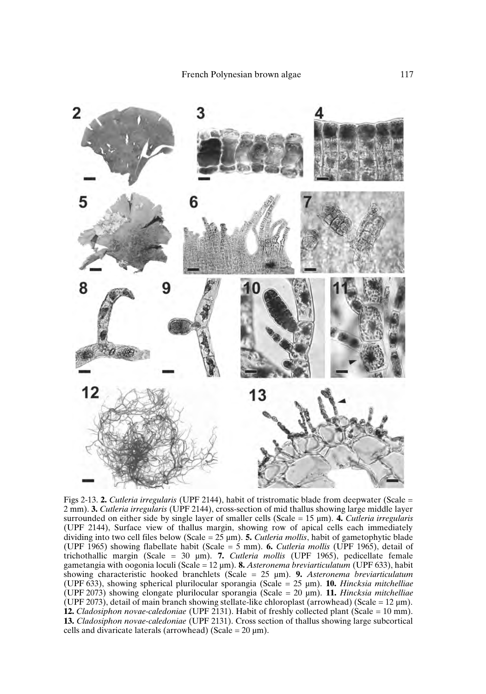

Figs 2-13. **2.** *Cutleria irregularis* (UPF 2144), habit of tristromatic blade from deepwater (Scale = 2 mm). **3.** *Cutleria irregularis* (UPF 2144), cross-section of mid thallus showing large middle layer surrounded on either side by single layer of smaller cells (Scale = 15 µm). **4.** *Cutleria irregularis* (UPF 2144), Surface view of thallus margin, showing row of apical cells each immediately dividing into two cell files below (Scale = 25 µm). **5.** *Cutleria mollis*, habit of gametophytic blade (UPF 1965) showing flabellate habit (Scale = 5 mm). **6.** *Cutleria mollis* (UPF 1965), detail of trichothallic margin (Scale = 30 µm). **7.** *Cutleria mollis* (UPF 1965), pedicellate female gametangia with oogonia loculi (Scale = 12 µm). **8.** *Asteronema breviarticulatum* (UPF 633), habit showing characteristic hooked branchlets (Scale = 25 µm). **9.** *Asteronema breviarticulatum* (UPF 633), showing spherical plurilocular sporangia (Scale = 25 µm). **10.** *Hincksia mitchelliae* (UPF 2073) showing elongate plurilocular sporangia (Scale = 20 µm). **11.** *Hincksia mitchelliae* (UPF 2073), detail of main branch showing stellate-like chloroplast (arrowhead) (Scale =  $12 \mu m$ ). **12.** *Cladosiphon novae-caledoniae* (UPF 2131). Habit of freshly collected plant (Scale = 10 mm). **13.** *Cladosiphon novae-caledoniae* (UPF 2131). Cross section of thallus showing large subcortical cells and divaricate laterals (arrowhead) (Scale =  $20 \text{ µm}$ ).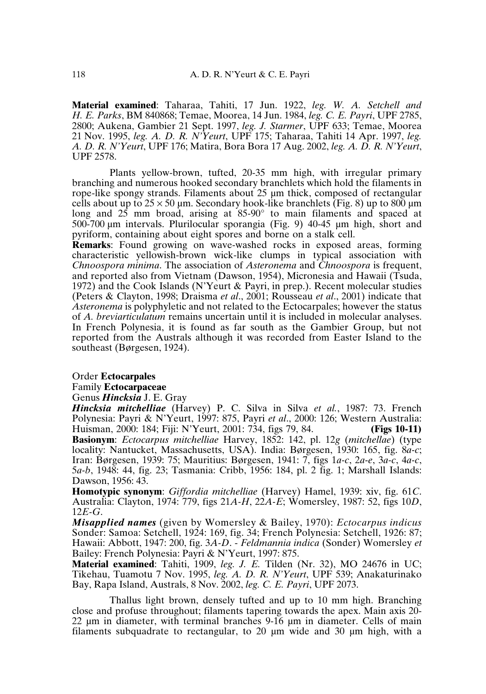**Material examined**: Taharaa, Tahiti, 17 Jun. 1922, *leg. W. A. Setchell and H. E. Parks*, BM 840868; Temae, Moorea, 14 Jun. 1984, *leg. C. E. Payri*, UPF 2785, 2800; Aukena, Gambier 21 Sept. 1997, *leg. J. Starmer*, UPF 633; Temae, Moorea 21 Nov. 1995, *leg. A. D. R. N'Yeurt*, UPF 175; Taharaa, Tahiti 14 Apr. 1997, *leg. A. D. R. N'Yeurt*, UPF 176; Matira, Bora Bora 17 Aug. 2002, *leg. A. D. R. N'Yeurt*, UPF 2578.

Plants yellow-brown, tufted, 20-35 mm high, with irregular primary branching and numerous hooked secondary branchlets which hold the filaments in rope-like spongy strands. Filaments about 25 µm thick, composed of rectangular cells about up to  $25 \times 50$  µm. Secondary hook-like branchlets (Fig. 8) up to 800 µm long and  $25 \text{ mm}$  broad, arising at  $85\text{-}90^{\circ}$  to main filaments and spaced at 500-700 µm intervals. Plurilocular sporangia (Fig. 9) 40-45 µm high, short and pyriform, containing about eight spores and borne on a stalk cell.

**Remarks**: Found growing on wave-washed rocks in exposed areas, forming characteristic yellowish-brown wick-like clumps in typical association with *Chnoospora minima*. The association of *Asteronema* and *Chnoospora* is frequent, and reported also from Vietnam (Dawson, 1954), Micronesia and Hawaii (Tsuda, 1972) and the Cook Islands (N'Yeurt & Payri, in prep.). Recent molecular studies (Peters & Clayton, 1998; Draisma *et al*., 2001; Rousseau *et al*., 2001) indicate that *Asteronema* is polyphyletic and not related to the Ectocarpales; however the status of *A. breviarticulatum* remains uncertain until it is included in molecular analyses. In French Polynesia, it is found as far south as the Gambier Group, but not reported from the Australs although it was recorded from Easter Island to the southeast (Børgesen, 1924).

Order **Ectocarpales**

Family **Ectocarpaceae**

Genus *Hincksia* J. E. Gray

*Hincksia mitchelliae* (Harvey) P. C. Silva in Silva *et al.*, 1987: 73. French Polynesia: Payri & N'Yeurt, 1997: 875, Payri *et al*., 2000: 126; Western Australia: Huisman, 2000: 184; Fiji: N'Yeurt, 2001: 734, figs 79, 84. **Basionym**: *Ectocarpus mitchelliae* Harvey, 1852: 142, pl. 12*g* (*mitchellae*) (type locality: Nantucket, Massachusetts, USA). India: Børgesen, 1930: 165, fig. 8*a-c*; Iran: Børgesen, 1939: 75; Mauritius: Børgesen, 1941: 7, figs 1*a-c*, 2*a-e*, 3*a-c*, 4*a-c*, 5*a-b*, 1948: 44, fig. 23; Tasmania: Cribb, 1956: 184, pl. 2 fig. 1; Marshall Islands: Dawson, 1956: 43.

**Homotypic synonym**: *Giffordia mitchelliae* (Harvey) Hamel, 1939: xiv, fig. 61*C*. Australia: Clayton, 1974: 779, figs 21*A-H*, 22*A-E*; Womersley, 1987: 52, figs 10*D*, 12*E-G*.

*Misapplied names* (given by Womersley & Bailey, 1970): *Ectocarpus indicus* Sonder: Samoa: Setchell, 1924: 169, fig. 34; French Polynesia: Setchell, 1926: 87; Hawaii: Abbott, 1947: 200, fig. 3*A-D*. - *Feldmannia indica* (Sonder) Womersley *et* Bailey: French Polynesia: Payri & N'Yeurt, 1997: 875.

**Material examined**: Tahiti, 1909, *leg. J. E.* Tilden (Nr. 32), MO 24676 in UC; Tikehau, Tuamotu 7 Nov. 1995, *leg. A. D. R. N'Yeurt*, UPF 539; Anakaturinako Bay, Rapa Island, Australs, 8 Nov. 2002, *leg. C. E. Payri*, UPF 2073.

Thallus light brown, densely tufted and up to 10 mm high. Branching close and profuse throughout; filaments tapering towards the apex. Main axis 20- 22 µm in diameter, with terminal branches 9-16 µm in diameter. Cells of main filaments subquadrate to rectangular, to 20 µm wide and 30 µm high, with a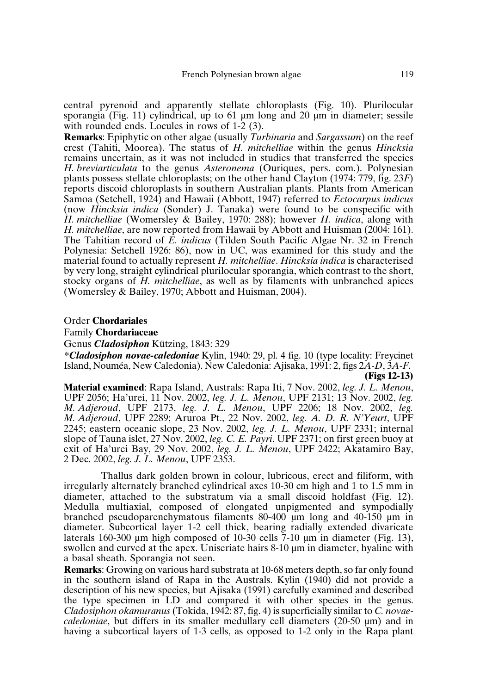central pyrenoid and apparently stellate chloroplasts (Fig. 10). Plurilocular sporangia (Fig. 11) cylindrical, up to 61  $\mu$ m long and 20  $\mu$ m in diameter; sessile with rounded ends. Locules in rows of 1-2 (3).

**Remarks**: Epiphytic on other algae (usually *Turbinaria* and *Sargassum*) on the reef crest (Tahiti, Moorea). The status of *H. mitchelliae* within the genus *Hincksia* remains uncertain, as it was not included in studies that transferred the species *H. breviarticulata* to the genus *Asteronema* (Ouriques, pers. com.). Polynesian plants possess stellate chloroplasts; on the other hand Clayton (1974: 779, fig. 23*F*) reports discoid chloroplasts in southern Australian plants. Plants from American Samoa (Setchell, 1924) and Hawaii (Abbott, 1947) referred to *Ectocarpus indicus* (now *Hincksia indica* (Sonder) J. Tanaka) were found to be conspecific with *H. mitchelliae* (Womersley & Bailey, 1970: 288); however *H. indica*, along with *H. mitchelliae*, are now reported from Hawaii by Abbott and Huisman (2004: 161). The Tahitian record of *E. indicus* (Tilden South Pacific Algae Nr. 32 in French Polynesia: Setchell 1926: 86), now in UC, was examined for this study and the material found to actually represent *H. mitchelliae*. *Hincksia indica* is characterised by very long, straight cylindrical plurilocular sporangia, which contrast to the short, stocky organs of *H. mitchelliae*, as well as by filaments with unbranched apices (Womersley & Bailey, 1970; Abbott and Huisman, 2004).

Order **Chordariales**

Family **Chordariaceae**

Genus *Cladosiphon* Kützing, 1843: 329

*\*Cladosiphon novae-caledoniae* Kylin, 1940: 29, pl. 4 fig. 10 (type locality: Freycinet Island, Nouméa, New Caledonia). New Caledonia: Ajisaka, 1991: 2, figs 2*A-D*, 3*A-F*. **(Figs 12-13)**

**Material examined**: Rapa Island, Australs: Rapa Iti, 7 Nov. 2002, *leg. J. L. Menou*, UPF 2056; Ha'urei, 11 Nov. 2002, *leg. J. L. Menou*, UPF 2131; 13 Nov. 2002, *leg. M. Adjeroud*, UPF 2173, *leg. J. L. Menou*, UPF 2206; 18 Nov. 2002, *leg. M. Adjeroud*, UPF 2289; Aruroa Pt., 22 Nov. 2002, *leg. A. D. R. N'Yeurt*, UPF 2245; eastern oceanic slope, 23 Nov. 2002, *leg. J. L. Menou*, UPF 2331; internal slope of Tauna islet, 27 Nov. 2002, *leg. C. E. Payri*, UPF 2371; on first green buoy at exit of Ha'urei Bay, 29 Nov. 2002, *leg. J. L. Menou*, UPF 2422; Akatamiro Bay, 2 Dec. 2002, *leg. J. L. Menou*, UPF 2353.

Thallus dark golden brown in colour, lubricous, erect and filiform, with irregularly alternately branched cylindrical axes 10-30 cm high and 1 to 1.5 mm in diameter, attached to the substratum via a small discoid holdfast (Fig. 12). Medulla multiaxial, composed of elongated unpigmented and sympodially branched pseudoparenchymatous filaments  $80-400 \mu m$  long and  $40-150 \mu m$  in diameter. Subcortical layer 1-2 cell thick, bearing radially extended divaricate laterals 160-300 µm high composed of 10-30 cells  $\overline{7}$ -10 µm in diameter (Fig. 13), swollen and curved at the apex. Uniseriate hairs 8-10  $\mu$ m in diameter, hyaline with a basal sheath. Sporangia not seen.

**Remarks**: Growing on various hard substrata at 10-68 meters depth, so far only found in the southern island of Rapa in the Australs. Kylin (1940) did not provide a description of his new species, but Ajisaka (1991) carefully examined and described the type specimen in LD and compared it with other species in the genus. *Cladosiphon okamuranus*(Tokida, 1942: 87, fig. 4) is superficially similar to *C. novaecaledoniae*, but differs in its smaller medullary cell diameters (20-50 µm) and in having a subcortical layers of 1-3 cells, as opposed to 1-2 only in the Rapa plant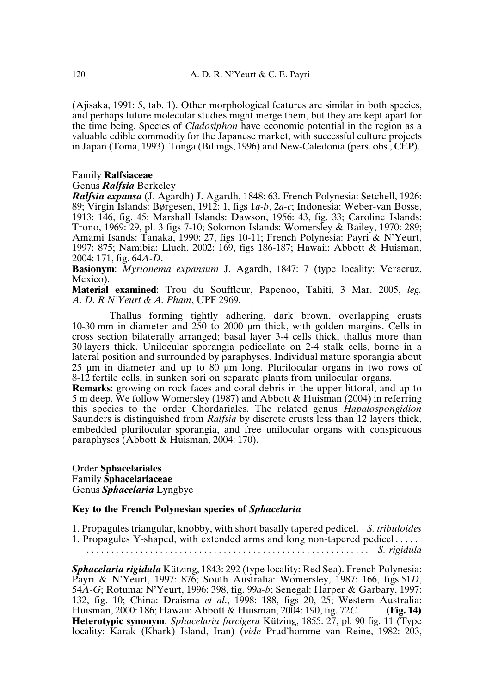(Ajisaka, 1991: 5, tab. 1). Other morphological features are similar in both species, and perhaps future molecular studies might merge them, but they are kept apart for the time being. Species of *Cladosiphon* have economic potential in the region as a valuable edible commodity for the Japanese market, with successful culture projects inJapan (Toma, 1993), Tonga (Billings, 1996) and New-Caledonia (pers. obs., CEP).

## Family **Ralfsiaceae**

### Genus *Ralfsia* Berkeley

*Ralfsia expansa* (J. Agardh) J. Agardh, 1848: 63. French Polynesia: Setchell, 1926: 89; Virgin Islands: Børgesen, 1912: 1, figs 1*a-b*, 2*a-c*; Indonesia: Weber-van Bosse, 1913: 146, fig. 45; Marshall Islands: Dawson, 1956: 43, fig. 33; Caroline Islands: Trono, 1969: 29, pl. 3 figs 7-10; Solomon Islands: Womersley & Bailey, 1970: 289; Amami Isands: Tanaka, 1990: 27, figs 10-11; French Polynesia: Payri & N'Yeurt, 1997: 875; Namibia: Lluch, 2002: 169, figs 186-187; Hawaii: Abbott & Huisman, 2004: 171, fig. 64*A-D*.

**Basionym**: *Myrionema expansum* J. Agardh, 1847: 7 (type locality: Veracruz, Mexico).

**Material examined**: Trou du Souffleur, Papenoo, Tahiti, 3 Mar. 2005, *leg. A. D. R N'Yeurt & A. Pham*, UPF 2969.

Thallus forming tightly adhering, dark brown, overlapping crusts 10-30 mm in diameter and 250 to 2000 µm thick, with golden margins. Cells in cross section bilaterally arranged; basal layer 3-4 cells thick, thallus more than 30 layers thick. Unilocular sporangia pedicellate on 2-4 stalk cells, borne in a lateral position and surrounded by paraphyses. Individual mature sporangia about 25 µm in diameter and up to 80 µm long. Plurilocular organs in two rows of 8-12 fertile cells, in sunken sori on separate plants from unilocular organs.

**Remarks**: growing on rock faces and coral debris in the upper littoral, and up to 5 m deep. We follow Womersley (1987) and Abbott & Huisman (2004) in referring this species to the order Chordariales. The related genus *Hapalospongidion* Saunders is distinguished from *Ralfsia* by discrete crusts less than 12 layers thick, embedded plurilocular sporangia, and free unilocular organs with conspicuous paraphyses (Abbott & Huisman, 2004: 170).

Order **Sphacelariales** Family **Sphacelariaceae** Genus *Sphacelaria* Lyngbye

## **Key to the French Polynesian species of** *Sphacelaria*

1. Propagules triangular, knobby, with short basally tapered pedicel. *S. tribuloides* 1. Propagules Y-shaped, with extended arms and long non-tapered pedicel . . . . .

*. . . . . . . . . . . . . . . . . . . . . . . . . . . . . . . . . . . . . . . . . . . . . . . . . . . . . . . . . . S. rigidula*

*Sphacelaria rigidula* Kützing, 1843: 292 (type locality: Red Sea). French Polynesia: Payri & N'Yeurt, 1997: 876; South Australia: Womersley, 1987: 166, figs 51*D*, 54*A-G*; Rotuma: N'Yeurt, 1996: 398, fig. 99*a-b*; Senegal: Harper & Garbary, 1997: 132, fig. 10; China: Draisma *et al*., 1998: 188, figs 20, 25; Western Australia: Huisman, 2000: 186; Hawaii: Abbott & Huisman, 2004: 190, fig. 72*C*. **(Fig. 14) Heterotypic synonym**: *Sphacelaria furcigera* Kützing, 1855: 27, pl. 90 fig. 11 (Type locality: Karak (Khark) Island, Iran) (*vide* Prud'homme van Reine, 1982: 203,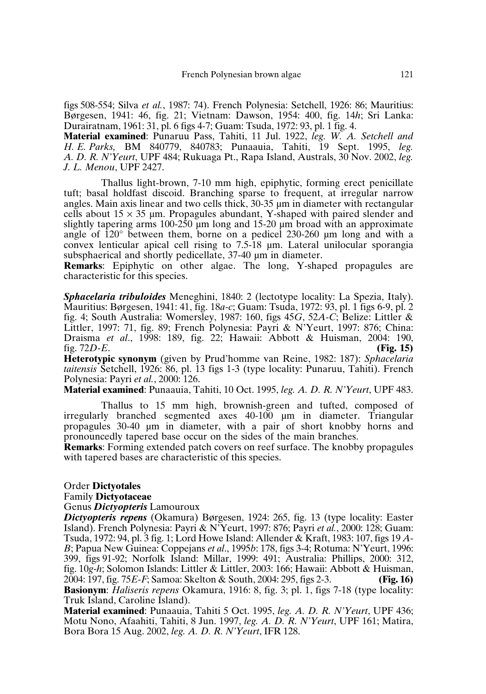figs 508-554; Silva *et al.*, 1987: 74). French Polynesia: Setchell, 1926: 86; Mauritius: Børgesen, 1941: 46, fig. 21; Vietnam: Dawson, 1954: 400, fig. 14*h*; Sri Lanka: Durairatnam, 1961: 31, pl. 6 figs 4-7; Guam: Tsuda, 1972: 93, pl. 1 fig. 4. **Material examined**: Punaruu Pass, Tahiti, 11 Jul. 1922, *leg. W. A. Setchell and*

*H. E. Parks,* BM 840779, 840783; Punaauia, Tahiti, 19 Sept. 1995, *leg. A. D. R. N'Yeurt*, UPF 484; Rukuaga Pt., Rapa Island, Australs, 30 Nov. 2002, *leg. J. L. Menou*, UPF 2427.

Thallus light-brown, 7-10 mm high, epiphytic, forming erect penicillate tuft; basal holdfast discoid. Branching sparse to frequent, at irregular narrow angles. Main axis linear and two cells thick, 30-35 µm in diameter with rectangular cells about  $15 \times 35$  µm. Propagules abundant, Y-shaped with paired slender and slightly tapering arms 100-250  $\mu$ m long and 15-20  $\mu$ m broad with an approximate angle of 120° between them, borne on a pedicel 230-260 µm long and with a convex lenticular apical cell rising to 7.5-18 µm. Lateral unilocular sporangia subsphaerical and shortly pedicellate, 37-40  $\mu$ m in diameter.

**Remarks**: Epiphytic on other algae. The long, Y-shaped propagules are characteristic for this species.

*Sphacelaria tribuloides* Meneghini, 1840: 2 (lectotype locality: La Spezia, Italy). Mauritius: Børgesen, 1941: 41, fig. 18*a-c*; Guam: Tsuda, 1972: 93, pl. 1 figs 6-9, pl. 2 fig. 4; South Australia: Womersley, 1987: 160, figs 45*G*, 52*A-C*; Belize: Littler & Littler, 1997: 71, fig. 89; French Polynesia: Payri & N'Yeurt, 1997: 876; China: Draisma *et al*., 1998: 189, fig. 22; Hawaii: Abbott & Huisman, 2004: 190, fig. 72*D-E*. **(Fig. 15)**

**Heterotypic synonym** (given by Prud'homme van Reine, 1982: 187): *Sphacelaria taitensis* Setchell, 1926: 86, pl. 13 figs 1-3 (type locality: Punaruu, Tahiti). French Polynesia: Payri *et al.*, 2000: 126.

**Material examined**: Punaauia, Tahiti, 10 Oct. 1995, *leg. A. D. R. N'Yeurt*, UPF 483.

Thallus to 15 mm high, brownish-green and tufted, composed of irregularly branched segmented axes 40-100 µm in diameter. Triangular propagules 30-40 µm in diameter, with a pair of short knobby horns and pronouncedly tapered base occur on the sides of the main branches.

**Remarks**: Forming extended patch covers on reef surface. The knobby propagules with tapered bases are characteristic of this species.

#### Order **Dictyotales**

#### Family **Dictyotaceae**

## Genus *Dictyopteris* Lamouroux

*Dictyopteris repens* (Okamura) Børgesen, 1924: 265, fig. 13 (type locality: Easter Island). French Polynesia: Payri & N'Yeurt, 1997: 876; Payri *et al.*, 2000: 128; Guam: Tsuda, 1972: 94,pl. 3 fig. 1; Lord Howe Island: Allender & Kraft, 1983: 107, figs 19 *A-B*; Papua New Guinea: Coppejans *et al*., 1995*b*: 178, figs 3-4; Rotuma: N'Yeurt, 1996: 399, figs 91-92; Norfolk Island: Millar, 1999: 491; Australia: Phillips, 2000: 312, fig. 10*g-h*; Solomon Islands: Littler & Littler, 2003: 166; Hawaii: Abbott & Huisman, 2004: 197, fig. 75*E-F*; Samoa: Skelton & South, 2004: 295, figs 2-3. **(Fig. 16) Basionym**: *Haliseris repens* Okamura, 1916: 8, fig. 3; pl. 1, figs 7-18 (type locality:

Truk Island, Caroline Island). **Material examined**: Punaauia, Tahiti 5 Oct. 1995, *leg. A. D. R. N'Yeurt*, UPF 436;

Motu Nono, Afaahiti, Tahiti, 8 Jun. 1997, *leg. A. D. R. N'Yeurt*, UPF 161; Matira, Bora Bora 15 Aug. 2002, *leg. A. D. R. N'Yeurt*, IFR 128.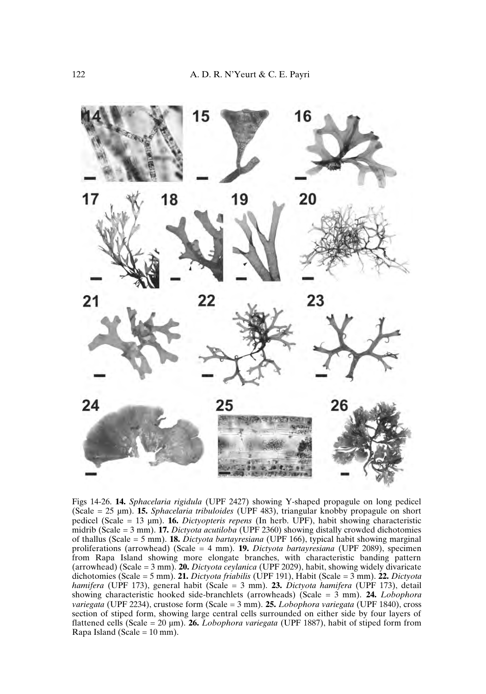

Figs 14-26. **14.** *Sphacelaria rigidula* (UPF 2427) showing Y-shaped propagule on long pedicel (Scale = 25 µm). **15.** *Sphacelaria tribuloides* (UPF 483), triangular knobby propagule on short pedicel (Scale = 13 µm). **16.** *Dictyopteris repens* (In herb. UPF), habit showing characteristic midrib (Scale = 3 mm). **17.** *Dictyota acutiloba* (UPF 2360) showing distally crowded dichotomies of thallus (Scale = 5 mm). **18.** *Dictyota bartayresiana* (UPF 166), typical habit showing marginal proliferations (arrowhead) (Scale = 4 mm). **19.** *Dictyota bartayresiana* (UPF 2089), specimen from Rapa Island showing more elongate branches, with characteristic banding pattern (arrowhead) (Scale = 3 mm). **20.** *Dictyota ceylanica* (UPF 2029), habit, showing widely divaricate dichotomies (Scale = 5 mm). **21.** *Dictyota friabilis* (UPF 191), Habit (Scale = 3 mm). **22.** *Dictyota hamifera* (UPF 173), general habit (Scale = 3 mm). **23.** *Dictyota hamifera* (UPF 173), detail showing characteristic hooked side-branchlets (arrowheads) (Scale = 3 mm). **24.** *Lobophora variegata* (UPF 2234), crustose form (Scale = 3 mm). **25.** *Lobophora variegata* (UPF 1840), cross section of stiped form, showing large central cells surrounded on either side by four layers of flattened cells (Scale = 20 µm). **26.** *Lobophora variegata* (UPF 1887), habit of stiped form from Rapa Island (Scale =  $10 \text{ mm}$ ).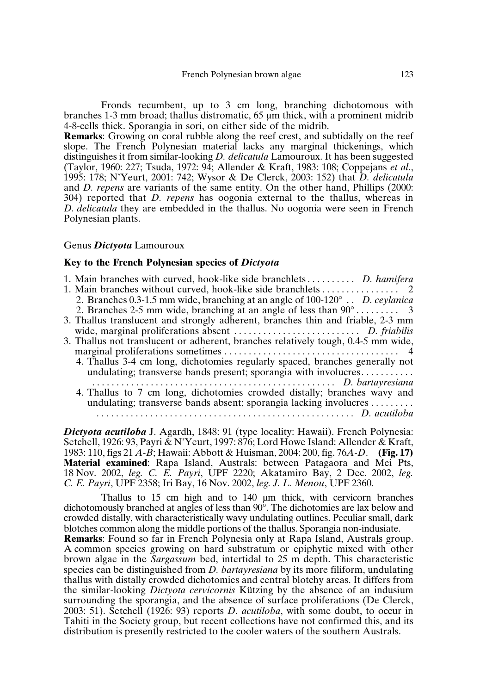Fronds recumbent, up to 3 cm long, branching dichotomous with branches 1-3 mm broad; thallus distromatic, 65 µm thick, with a prominent midrib 4-8-cells thick. Sporangia in sori, on either side of the midrib.

**Remarks**: Growing on coral rubble along the reef crest, and subtidally on the reef slope. The French Polynesian material lacks any marginal thickenings, which distinguishes it from similar-looking *D. delicatula* Lamouroux. It has been suggested (Taylor, 1960: 227; Tsuda, 1972: 94; Allender & Kraft, 1983: 108; Coppejans *et al*., 1995: 178; N'Yeurt, 2001: 742; Wysor & De Clerck, 2003: 152) that *D. delicatula* and *D. repens* are variants of the same entity. On the other hand, Phillips (2000: 304) reported that *D. repens* has oogonia external to the thallus, whereas in *D. delicatula* they are embedded in the thallus. No oogonia were seen in French Polynesian plants.

### Genus *Dictyota* Lamouroux

### **Key to the French Polynesian species of** *Dictyota*

| 1. Main branches with curved, hook-like side branchlets D. hamifera                    |  |
|----------------------------------------------------------------------------------------|--|
|                                                                                        |  |
| 2. Branches 0.3-1.5 mm wide, branching at an angle of $100-120^{\circ}$ . D. ceylanica |  |
|                                                                                        |  |
| 3. Thallus translucent and strongly adherent, branches thin and friable, 2-3 mm        |  |
|                                                                                        |  |
| 3. Thallus not translucent or adherent, branches relatively tough, 0.4-5 mm wide,      |  |
|                                                                                        |  |
| 4. Thallus 3-4 cm long, dichotomies regularly spaced, branches generally not           |  |
| undulating; transverse bands present; sporangia with involucres                        |  |
|                                                                                        |  |
| 4. Thallus to 7 cm long, dichotomies crowded distally; branches wavy and               |  |
| undulating; transverse bands absent; sporangia lacking involucres                      |  |
|                                                                                        |  |

*Dictyota acutiloba* J. Agardh, 1848: 91 (type locality: Hawaii). French Polynesia: Setchell, 1926: 93, Payri & N'Yeurt, 1997: 876; Lord Howe Island: Allender & Kraft, 1983: 110, figs 21 *A-B*; Hawaii: Abbott & Huisman, 2004: 200, fig. 76*A-D*. **(Fig. 17) Material examined**: Rapa Island, Australs: between Patagaora and Mei Pts, 18 Nov. 2002, *leg. C. E. Payri*, UPF 2220; Akatamiro Bay, 2 Dec. 2002, *leg. C. E. Payri*, UPF 2358; Iri Bay, 16 Nov. 2002, *leg. J. L. Menou*, UPF 2360.

Thallus to 15 cm high and to 140 µm thick, with cervicorn branches dichotomously branched at angles of less than 90°. The dichotomies are lax below and crowded distally, with characteristically wavy undulating outlines. Peculiar small, dark blotches common along the middle portions of the thallus. Sporangia non-indusiate.

**Remarks**: Found so far in French Polynesia only at Rapa Island, Australs group. A common species growing on hard substratum or epiphytic mixed with other brown algae in the *Sargassum* bed, intertidal to 25 m depth. This characteristic species can be distinguished from *D. bartayresiana* by its more filiform, undulating thallus with distally crowded dichotomies and central blotchy areas. It differs from the similar-looking *Dictyota cervicornis* Kützing by the absence of an indusium surrounding the sporangia, and the absence of surface proliferations (De Clerck, 2003: 51). Setchell (1926: 93) reports *D. acutiloba*, with some doubt, to occur in Tahiti in the Society group, but recent collections have not confirmed this, and its distribution is presently restricted to the cooler waters of the southern Australs.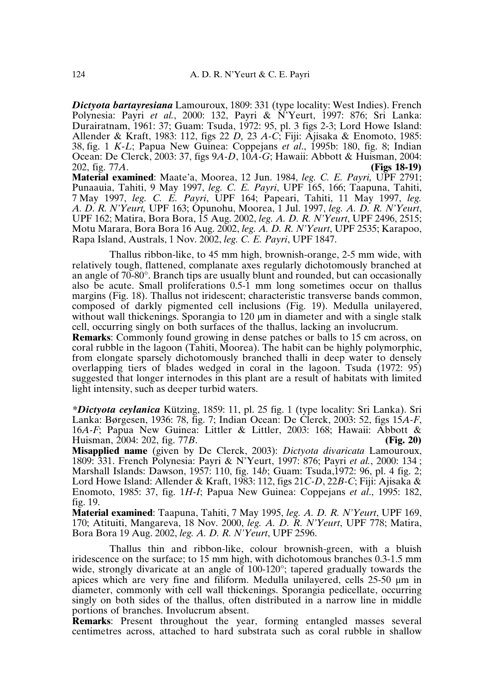*Dictyota bartayresiana* Lamouroux, 1809: 331 (type locality: West Indies). French Polynesia: Payri et al., 2000: 132, Payri & N<sup>2</sup>Yeurt, 1997: 876; Sri Lanka: Durairatnam, 1961: 37; Guam: Tsuda, 1972: 95, pl. 3 figs 2-3; Lord Howe Island: Allender & Kraft, 1983: 112, figs 22 *D,* 23 *A-C*; Fiji: Ajisaka & Enomoto, 1985: 38, fig. 1 *K-L*; Papua New Guinea: Coppejans *et al*., 1995b: 180, fig. 8; Indian Ocean: De Clerck, 2003: 37, figs 9*A-D*, 10*A-G*; Hawaii: Abbott & Huisman, 2004: 202, fig. 77*A*. **(Figs 18-19)**

**Material examined**: Maate'a, Moorea, 12 Jun. 1984, *leg. C. E. Payri,* UPF 2791; Punaauia, Tahiti, 9 May 1997, *leg. C. E. Payri*, UPF 165, 166; Taapuna, Tahiti, 7 May 1997, *leg. C. E. Payri*, UPF 164; Papeari, Tahiti, 11 May 1997, *leg. A. D. R. N'Yeurt,* UPF 163; Opunohu, Moorea, 1 Jul. 1997, *leg. A. D. R. N'Yeurt*, UPF 162; Matira, Bora Bora, 15 Aug. 2002, *leg. A. D. R. N'Yeurt*, UPF 2496, 2515; Motu Marara, Bora Bora 16 Aug. 2002, *leg. A. D. R. N'Yeurt*, UPF 2535; Karapoo, Rapa Island, Australs, 1 Nov. 2002, *leg. C. E. Payri*, UPF 1847.

Thallus ribbon-like, to 45 mm high, brownish-orange, 2-5 mm wide, with relatively tough, flattened, complanate axes regularly dichotomously branched at an angle of 70-80°. Branch tips are usually blunt and rounded, but can occasionally also be acute. Small proliferations 0.5-1 mm long sometimes occur on thallus margins (Fig. 18). Thallus not iridescent; characteristic transverse bands common, composed of darkly pigmented cell inclusions (Fig. 19). Medulla unilayered, without wall thickenings. Sporangia to 120 µm in diameter and with a single stalk cell, occurring singly on both surfaces of the thallus, lacking an involucrum.

**Remarks**: Commonly found growing in dense patches or balls to 15 cm across, on coral rubble in the lagoon (Tahiti, Moorea). The habit can be highly polymorphic, from elongate sparsely dichotomously branched thalli in deep water to densely overlapping tiers of blades wedged in coral in the lagoon. Tsuda (1972: 95) suggested that longer internodes in this plant are a result of habitats with limited light intensity, such as deeper turbid waters.

*\*Dictyota ceylanica* Kützing, 1859: 11, pl. 25 fig. 1 (type locality: Sri Lanka). Sri Lanka: Børgesen, 1936: 78, fig. 7; Indian Ocean: De Clerck, 2003: 52, figs 15*A-F*, 16*A-F*; Papua New Guinea: Littler & Littler, 2003: 168; Hawaii: Abbott & Huisman, 2004: 202, fig. 77*B*. (Fig. 20) Huisman, 2004: 202, fig. 77*B*. **(Fig. 20)**

**Misapplied name** (given by De Clerck, 2003): *Dictyota divaricata* Lamouroux, 1809: 331. French Polynesia: Payri & N'Yeurt, 1997: 876; Payri *et al.*, 2000: 134 ; Marshall Islands: Dawson, 1957: 110, fig. 14*b*; Guam: Tsuda,1972: 96, pl. 4 fig. 2; Lord Howe Island: Allender & Kraft, 1983: 112, figs 21*C-D*, 22*B-C*; Fiji: Ajisaka & Enomoto, 1985: 37, fig. 1*H-I*; Papua New Guinea: Coppejans *et al*., 1995: 182, fig. 19.

**Material examined**: Taapuna, Tahiti, 7 May 1995, *leg. A. D. R. N'Yeurt*, UPF 169, 170; Atituiti, Mangareva, 18 Nov. 2000, *leg. A. D. R. N'Yeurt*, UPF 778; Matira, Bora Bora 19 Aug. 2002, *leg. A. D. R. N'Yeurt*, UPF 2596.

Thallus thin and ribbon-like, colour brownish-green, with a bluish iridescence on the surface; to 15 mm high, with dichotomous branches 0.3-1.5 mm wide, strongly divaricate at an angle of 100-120°; tapered gradually towards the apices which are very fine and filiform. Medulla unilayered, cells 25-50 µm in diameter, commonly with cell wall thickenings. Sporangia pedicellate, occurring singly on both sides of the thallus, often distributed in a narrow line in middle portions of branches. Involucrum absent.

**Remarks**: Present throughout the year, forming entangled masses several centimetres across, attached to hard substrata such as coral rubble in shallow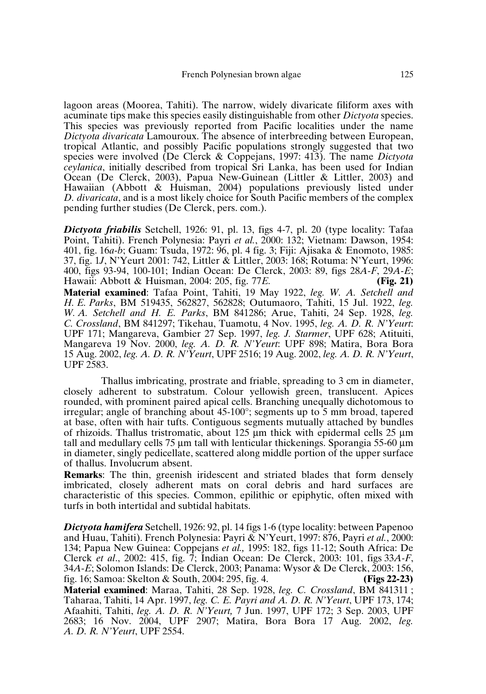lagoon areas (Moorea, Tahiti). The narrow, widely divaricate filiform axes with acuminate tips make this species easily distinguishable from other *Dictyota* species. This species was previously reported from Pacific localities under the name *Dictyota divaricata* Lamouroux. The absence of interbreeding between European, tropical Atlantic, and possibly Pacific populations strongly suggested that two species were involved (De Clerck & Coppejans, 1997: 413). The name *Dictyota ceylanica*, initially described from tropical Sri Lanka, has been used for Indian Ocean (De Clerck, 2003), Papua New-Guinean (Littler & Littler, 2003) and Hawaiian (Abbott & Huisman, 2004) populations previously listed under *D. divaricata*, and is a most likely choice for South Pacific members of the complex pending further studies (De Clerck, pers. com.).

*Dictyota friabilis* Setchell, 1926: 91, pl. 13, figs 4-7, pl. 20 (type locality: Tafaa Point, Tahiti). French Polynesia: Payri *et al.*, 2000: 132; Vietnam: Dawson, 1954: 401, fig. 16*a-b*; Guam: Tsuda, 1972: 96, pl. 4 fig. 3; Fiji: Ajisaka & Enomoto, 1985: 37, fig. 1*J*, N'Yeurt 2001: 742, Littler & Littler, 2003: 168; Rotuma: N'Yeurt, 1996: 400, figs 93-94, 100-101; Indian Ocean: De Clerck, 2003: 89, figs 28*A-F*, 29*A-E*; Hawaii: Abbott & Huisman, 2004: 205, fig. 77*E*. **Material examined**: Tafaa Point, Tahiti, 19 May 1922, *leg. W. A. Setchell and H. E. Parks*, BM 519435, 562827, 562828; Outumaoro, Tahiti, 15 Jul. 1922, *leg. W. A. Setchell and H. E. Parks*, BM 841286; Arue, Tahiti, 24 Sep. 1928, *leg. C. Crossland*, BM 841297; Tikehau, Tuamotu, 4 Nov. 1995, *leg. A. D. R. N'Yeurt*: UPF 171; Mangareva, Gambier 27 Sep. 1997, *leg. J. Starmer*, UPF 628; Atituiti, Mangareva 19 Nov. 2000, *leg. A. D. R. N'Yeurt*: UPF 898; Matira, Bora Bora 15 Aug. 2002, *leg. A. D. R. N'Yeurt*, UPF 2516; 19 Aug. 2002, *leg. A. D. R. N'Yeurt*, UPF 2583.

Thallus imbricating, prostrate and friable, spreading to 3 cm in diameter, closely adherent to substratum. Colour yellowish green, translucent. Apices rounded, with prominent paired apical cells. Branching unequally dichotomous to irregular; angle of branching about 45-100°; segments up to 5 mm broad, tapered at base, often with hair tufts. Contiguous segments mutually attached by bundles of rhizoids. Thallus tristromatic, about 125  $\mu$ m thick with epidermal cells 25  $\mu$ m tall and medullary cells 75  $\mu$ m tall with lenticular thickenings. Sporangia 55-60  $\mu$ m in diameter, singly pedicellate, scattered along middle portion of the upper surface of thallus. Involucrum absent.

**Remarks**: The thin, greenish iridescent and striated blades that form densely imbricated, closely adherent mats on coral debris and hard surfaces are characteristic of this species. Common, epilithic or epiphytic, often mixed with turfs in both intertidal and subtidal habitats.

*Dictyota hamifera* Setchell, 1926: 92, pl. 14 figs 1-6 (type locality: between Papenoo and Huau, Tahiti). French Polynesia: Payri & N'Yeurt, 1997: 876, Payri *et al.*, 2000: 134; Papua New Guinea: Coppejans *et al.,* 1995: 182, figs 11-12; South Africa: De Clerck *et al*., 2002: 415, fig. 7; Indian Ocean: De Clerck, 2003: 101, figs 33*A-F*, 34*A*-*E*; Solomon Islands: De Clerck, 2003; Panama: Wysor & De Clerck, 2003: 156, fig. 16; Samoa: Skelton & South, 2004: 295, fig. 4. **(Figs 22-23) Material examined**: Maraa, Tahiti, 28 Sep. 1928, *leg. C. Crossland*, BM 841311 ; Taharaa, Tahiti, 14 Apr. 1997, *leg. C. E. Payri and A. D. R. N'Yeurt*, UPF 173, 174; Afaahiti, Tahiti, *leg. A. D. R. N'Yeurt,* 7 Jun. 1997, UPF 172; 3 Sep. 2003, UPF 2683; 16 Nov. 2004, UPF 2907; Matira, Bora Bora 17 Aug. 2002, *leg. A. D. R. N'Yeurt*, UPF 2554.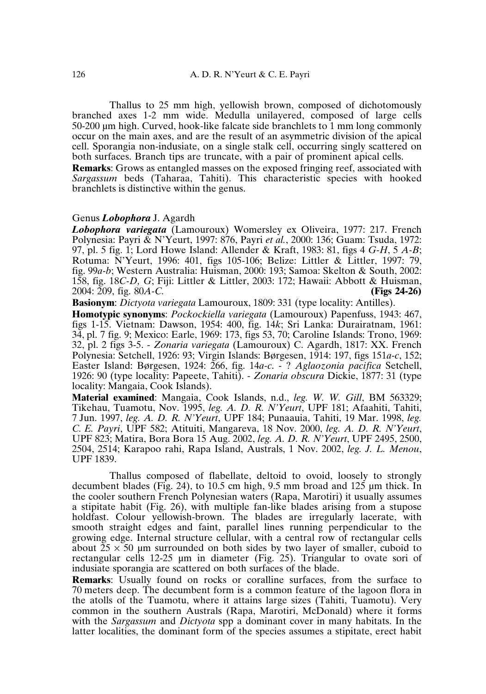Thallus to 25 mm high, yellowish brown, composed of dichotomously branched axes 1-2 mm wide. Medulla unilayered, composed of large cells 50-200 µm high. Curved, hook-like falcate side branchlets to 1 mm long commonly occur on the main axes, and are the result of an asymmetric division of the apical cell. Sporangia non-indusiate, on a single stalk cell, occurring singly scattered on both surfaces. Branch tips are truncate, with a pair of prominent apical cells. **Remarks**: Grows as entangled masses on the exposed fringing reef, associated with *Sargassum* beds (Taharaa, Tahiti). This characteristic species with hooked branchlets is distinctive within the genus.

#### Genus *Lobophora* J. Agardh

*Lobophora variegata* (Lamouroux) Womersley ex Oliveira, 1977: 217. French Polynesia: Payri & N'Yeurt, 1997: 876, Payri *et al.*, 2000: 136; Guam: Tsuda, 1972: 97, pl. 5 fig. 1; Lord Howe Island: Allender & Kraft, 1983: 81, figs 4 *G-H*, 5 *A-B*; Rotuma: N'Yeurt, 1996: 401, figs 105-106; Belize: Littler & Littler, 1997: 79, fig. 99*a-b*; Western Australia: Huisman, 2000: 193; Samoa: Skelton & South, 2002: 158, fig. 18*C-D, G*; Fiji: Littler & Littler, 2003: 172; Hawaii: Abbott & Huisman, 2004: 209, fig. 80*A-C.* **(Figs 24-26)**

**Basionym**: *Dictyota variegata* Lamouroux, 1809: 331 (type locality: Antilles).

**Homotypic synonyms**: *Pockockiella variegata* (Lamouroux) Papenfuss, 1943: 467, figs 1-15. Vietnam: Dawson, 1954: 400, fig. 14*k*; Sri Lanka: Durairatnam, 1961: 34, pl. 7 fig. 9; Mexico: Earle, 1969: 173, figs 53, 70; Caroline Islands: Trono, 1969: 32, pl. 2 figs 3-5. - *Zonaria variegata* (Lamouroux) C. Agardh, 1817: XX. French Polynesia: Setchell, 1926: 93; Virgin Islands: Børgesen, 1914: 197, figs 151*a-c*, 152; Easter Island: Børgesen, 1924: 266, fig. 14*a-c*. - ? *Aglaozonia pacifica* Setchell, 1926: 90 (type locality: Papeete, Tahiti). - *Zonaria obscura* Dickie, 1877: 31 (type locality: Mangaia, Cook Islands).

**Material examined**: Mangaia, Cook Islands, n.d., *leg. W. W. Gill*, BM 563329; Tikehau, Tuamotu, Nov. 1995, *leg. A. D. R. N'Yeurt*, UPF 181; Afaahiti, Tahiti, 7 Jun. 1997, *leg. A. D. R. N'Yeurt*, UPF 184; Punaauia, Tahiti, 19 Mar. 1998, *leg. C. E. Payri*, UPF 582; Atituiti, Mangareva, 18 Nov. 2000, *leg. A. D. R. N'Yeurt*, UPF 823; Matira, Bora Bora 15 Aug. 2002, *leg. A. D. R. N'Yeurt*, UPF 2495, 2500, 2504, 2514; Karapoo rahi, Rapa Island, Australs, 1 Nov. 2002, *leg. J. L. Menou*, UPF 1839.

Thallus composed of flabellate, deltoid to ovoid, loosely to strongly decumbent blades (Fig. 24), to 10.5 cm high, 9.5 mm broad and  $12\overline{5}$  µm thick. In the cooler southern French Polynesian waters (Rapa, Marotiri) it usually assumes a stipitate habit (Fig. 26), with multiple fan-like blades arising from a stupose holdfast. Colour yellowish-brown. The blades are irregularly lacerate, with smooth straight edges and faint, parallel lines running perpendicular to the growing edge. Internal structure cellular, with a central row of rectangular cells about  $25 \times 50$  µm surrounded on both sides by two layer of smaller, cuboid to rectangular cells 12-25 µm in diameter (Fig. 25). Triangular to ovate sori of indusiate sporangia are scattered on both surfaces of the blade.

**Remarks**: Usually found on rocks or coralline surfaces, from the surface to 70 meters deep. The decumbent form is a common feature of the lagoon flora in the atolls of the Tuamotu, where it attains large sizes (Tahiti, Tuamotu). Very common in the southern Australs (Rapa, Marotiri, McDonald) where it forms with the *Sargassum* and *Dictyota* spp a dominant cover in many habitats. In the latter localities, the dominant form of the species assumes a stipitate, erect habit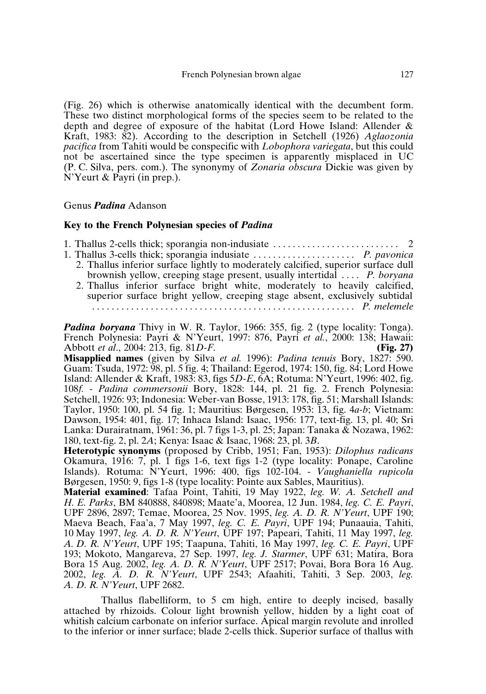(Fig. 26) which is otherwise anatomically identical with the decumbent form. These two distinct morphological forms of the species seem to be related to the depth and degree of exposure of the habitat (Lord Howe Island: Allender & Kraft, 1983: 82). According to the description in Setchell (1926) *Aglaozonia pacifica* from Tahiti would be conspecific with *Lobophora variegata*, but this could not be ascertained since the type specimen is apparently misplaced in UC (P. C. Silva, pers. com.). The synonymy of *Zonaria obscura* Dickie was given by N'Yeurt & Payri (in prep.).

## Genus *Padina* Adanson

#### **Key to the French Polynesian species of** *Padina*

| 1. Thallus 2-cells thick; sporangia non-indusiate $\dots \dots \dots \dots \dots \dots \dots$ |  |
|-----------------------------------------------------------------------------------------------|--|
|                                                                                               |  |
| 2. Thallus inferior surface lightly to moderately calcified, superior surface dull            |  |
| brownish yellow, creeping stage present, usually intertidal  P. boryana                       |  |
| 2. Thallus inferior surface bright white, moderately to heavily calcified,                    |  |
| superior surface bright yellow, creeping stage absent, exclusively subtidal                   |  |
|                                                                                               |  |
|                                                                                               |  |

*Padina boryana* Thivy in W. R. Taylor, 1966: 355, fig. 2 (type locality: Tonga). French Polynesia: Payri & N'Yeurt, 1997: 876, Payri *et al.*, 2000: 138; Hawaii: Abbott *et al.*, 2004: 213, fig. 81*D-F*. (Fig. 27) Abbott *et al.*, 2004: 213, fig. 81*D-F*.

**Misapplied names** (given by Silva *et al.* 1996): *Padina tenuis* Bory, 1827: 590. Guam: Tsuda, 1972: 98, pl. 5 fig. 4; Thailand: Egerod, 1974: 150, fig. 84; Lord Howe Island: Allender & Kraft, 1983: 83, figs 5*D-E*, 6A; Rotuma: N'Yeurt, 1996: 402, fig. 108*f.* - *Padina commersonii* Bory, 1828: 144, pl. 21 fig. 2. French Polynesia: Setchell, 1926: 93; Indonesia: Weber-van Bosse, 1913: 178, fig. 51; Marshall Islands: Taylor, 1950: 100, pl. 54 fig. 1; Mauritius: Børgesen, 1953: 13, fig. 4*a*-*b*; Vietnam: Dawson, 1954: 401, fig. 17; Inhaca Island: Isaac, 1956: 177, text-fig. 13, pl. 40; Sri Lanka: Durairatnam, 1961: 36, pl. 7 figs 1-3, pl. 25; Japan: Tanaka & Nozawa, 1962: 180, text-fig. 2, pl. 2*A*; Kenya: Isaac & Isaac, 1968: 23, pl. 3*B*.

**Heterotypic synonyms** (proposed by Cribb, 1951; Fan, 1953): *Dilophus radicans* Okamura, 1916: 7, pl. 1 figs 1-6, text figs 1-2 (type locality: Ponape, Caroline Islands). Rotuma: N'Yeurt, 1996: 400, figs 102-104. - *Vaughaniella rupicola* Børgesen, 1950: 9, figs 1-8 (type locality: Pointe aux Sables, Mauritius).

**Material examined**: Tafaa Point, Tahiti, 19 May 1922, *leg. W. A. Setchell and H. E. Parks*, BM 840888, 840898; Maate'a, Moorea, 12 Jun. 1984, *leg. C. E. Payri*, UPF 2896, 2897; Temae, Moorea, 25 Nov. 1995, *leg. A. D. R. N'Yeurt*, UPF 190; Maeva Beach, Faa'a, 7 May 1997, *leg. C. E. Payri*, UPF 194; Punaauia, Tahiti, 10 May 1997, *leg. A. D. R. N'Yeurt*, UPF 197; Papeari, Tahiti, 11 May 1997, *leg. A. D. R. N'Yeurt*, UPF 195; Taapuna, Tahiti, 16 May 1997, *leg. C. E. Payri*, UPF 193; Mokoto, Mangareva, 27 Sep. 1997, *leg. J. Starmer*, UPF 631; Matira, Bora Bora 15 Aug. 2002, *leg. A. D. R. N'Yeurt*, UPF 2517; Povai, Bora Bora 16 Aug. 2002, *leg. A. D. R. N'Yeurt*, UPF 2543; Afaahiti, Tahiti, 3 Sep. 2003, *leg. A. D. R. N'Yeurt*, UPF 2682.

Thallus flabelliform, to 5 cm high, entire to deeply incised, basally attached by rhizoids. Colour light brownish yellow, hidden by a light coat of whitish calcium carbonate on inferior surface. Apical margin revolute and inrolled to the inferior or inner surface; blade 2-cells thick. Superior surface of thallus with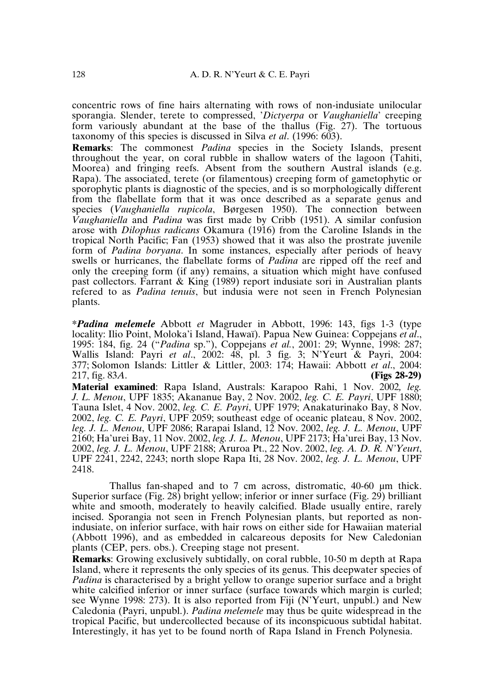concentric rows of fine hairs alternating with rows of non-indusiate unilocular sporangia. Slender, terete to compressed, '*Dictyerpa* or *Vaughaniella*' creeping form variously abundant at the base of the thallus (Fig. 27). The tortuous taxonomy of this species is discussed in Silva *et al*. (1996: 603).

**Remarks**: The commonest *Padina* species in the Society Islands, present throughout the year, on coral rubble in shallow waters of the lagoon (Tahiti, Moorea) and fringing reefs. Absent from the southern Austral islands (e.g. Rapa). The associated, terete (or filamentous) creeping form of gametophytic or sporophytic plants is diagnostic of the species, and is so morphologically different from the flabellate form that it was once described as a separate genus and species (*Vaughaniella rupicola*, Børgesen 1950). The connection between *Vaughaniella* and *Padina* was first made by Cribb (1951). A similar confusion arose with *Dilophus radicans* Okamura (1916) from the Caroline Islands in the tropical North Pacific; Fan (1953) showed that it was also the prostrate juvenile form of *Padina boryana*. In some instances, especially after periods of heavy swells or hurricanes, the flabellate forms of *Padina* are ripped off the reef and only the creeping form (if any) remains, a situation which might have confused past collectors. Farrant  $\&$  King (1989) report indusiate sori in Australian plants refered to as *Padina tenuis*, but indusia were not seen in French Polynesian plants.

**\****Padina melemele* Abbott *et* Magruder in Abbott, 1996: 143, figs 1-3 (type locality: Ilio Point, Moloka'i Island, Hawaï). Papua New Guinea: Coppejans *et al*., 1995: 184, fig. 24 ("*Padina* sp."), Coppejans *et al.*, 2001: 29; Wynne, 1998: 287; Wallis Island: Payri *et al*., 2002: 48, pl. 3 fig. 3; N'Yeurt & Payri, 2004: 377; Solomon Islands: Littler & Littler, 2003: 174; Hawaii: Abbott *et al*., 2004: 217, fig. 83*A*. **(Figs 28-29)**

**Material examined**: Rapa Island, Australs: Karapoo Rahi, 1 Nov. 2002*, leg. J. L. Menou*, UPF 1835; Akananue Bay, 2 Nov. 2002, *leg. C. E. Payri*, UPF 1880; Tauna Islet, 4 Nov. 2002, *leg. C. E. Payri*, UPF 1979; Anakaturinako Bay, 8 Nov. 2002, *leg. C. E. Payri*, UPF 2059; southeast edge of oceanic plateau, 8 Nov. 2002, *leg. J. L. Menou*, UPF 2086; Rarapai Island, 12 Nov. 2002, *leg. J. L. Menou*, UPF 2160; Ha'urei Bay, 11 Nov. 2002, *leg. J. L. Menou*, UPF 2173; Ha'urei Bay, 13 Nov. 2002, *leg. J. L. Menou*, UPF 2188; Aruroa Pt., 22 Nov. 2002, *leg. A. D. R. N'Yeurt*, UPF 2241, 2242, 2243; north slope Rapa Iti, 28 Nov. 2002, *leg. J. L. Menou*, UPF 2418.

Thallus fan-shaped and to 7 cm across, distromatic, 40-60 µm thick. Superior surface (Fig. 28) bright yellow; inferior or inner surface (Fig. 29) brilliant white and smooth, moderately to heavily calcified. Blade usually entire, rarely incised. Sporangia not seen in French Polynesian plants, but reported as nonindusiate, on inferior surface, with hair rows on either side for Hawaiian material (Abbott 1996), and as embedded in calcareous deposits for New Caledonian plants (CEP, pers. obs.). Creeping stage not present.

**Remarks**: Growing exclusively subtidally, on coral rubble, 10-50 m depth at Rapa Island, where it represents the only species of its genus. This deepwater species of *Padina* is characterised by a bright yellow to orange superior surface and a bright white calcified inferior or inner surface (surface towards which margin is curled; see Wynne 1998: 273). It is also reported from Fiji (N'Yeurt, unpubl.) and New Caledonia (Payri, unpubl.). *Padina melemele* may thus be quite widespread in the tropical Pacific, but undercollected because of its inconspicuous subtidal habitat. Interestingly, it has yet to be found north of Rapa Island in French Polynesia.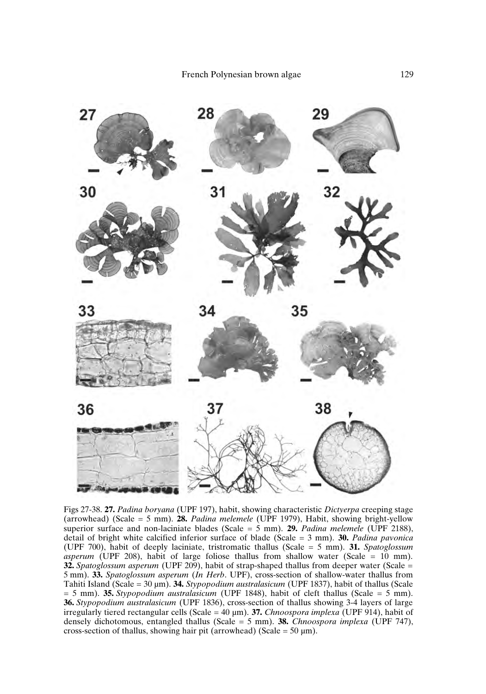

Figs 27-38. **27.** *Padina boryana* (UPF 197), habit, showing characteristic *Dictyerpa* creeping stage (arrowhead) (Scale = 5 mm). **28.** *Padina melemele* (UPF 1979), Habit, showing bright-yellow superior surface and non-laciniate blades (Scale = 5 mm). **29.** *Padina melemele* (UPF 2188), detail of bright white calcified inferior surface of blade (Scale = 3 mm). **30.** *Padina pavonica* (UPF 700), habit of deeply laciniate, tristromatic thallus (Scale = 5 mm). **31.** *Spatoglossum asperum* (UPF 208), habit of large foliose thallus from shallow water (Scale = 10 mm). **32.** *Spatoglossum asperum* (UPF 209), habit of strap-shaped thallus from deeper water (Scale = 5 mm). **33.** *Spatoglossum asperum* (*In Herb*. UPF), cross-section of shallow-water thallus from Tahiti Island (Scale = 30 µm). **34.** *Stypopodium australasicum* (UPF 1837), habit of thallus (Scale = 5 mm). **35.** *Stypopodium australasicum* (UPF 1848), habit of cleft thallus (Scale = 5 mm). **36.** *Stypopodium australasicum* (UPF 1836), cross-section of thallus showing 3-4 layers of large irregularly tiered rectangular cells (Scale = 40 µm). **37.** *Chnoospora implexa* (UPF 914), habit of densely dichotomous, entangled thallus (Scale = 5 mm). **38.** *Chnoospora implexa* (UPF 747), cross-section of thallus, showing hair pit (arrowhead) (Scale =  $50 \mu m$ ).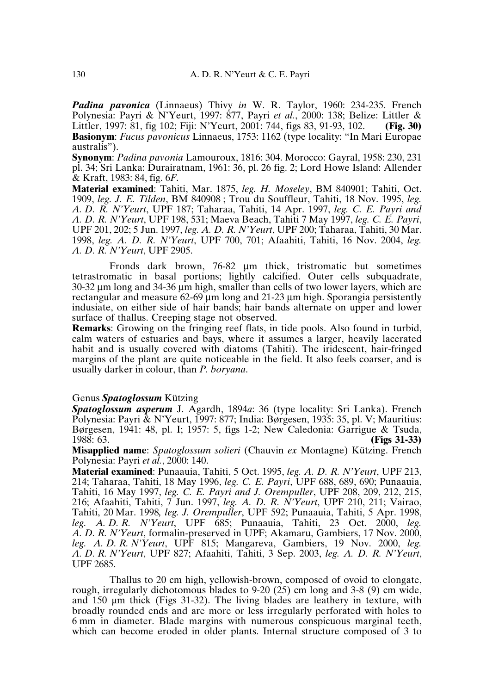*Padina pavonica* (Linnaeus) Thivy *in* W. R. Taylor, 1960: 234-235. French Polynesia: Payri & N'Yeurt, 1997: 877, Payri *et al.*, 2000: 138; Belize: Littler & Littler, 1997: 81, fig 102; Fiji: N'Yeurt, 2001: 744, figs 83, 91-93, 102. **(Fig. 30) Basionym**: *Fucus pavonicus* Linnaeus, 1753: 1162 (type locality: "In Mari Europae australis").

**Synonym**: *Padina pavonia* Lamouroux, 1816: 304. Morocco: Gayral, 1958: 230, 231 pl. 34; Sri Lanka: Durairatnam, 1961: 36, pl. 26 fig. 2; Lord Howe Island: Allender & Kraft, 1983: 84, fig. 6*F*.

**Material examined**: Tahiti, Mar. 1875, *leg. H. Moseley*, BM 840901; Tahiti, Oct. 1909, *leg. J. E. Tilden*, BM 840908 ; Trou du Souffleur, Tahiti, 18 Nov. 1995, *leg. A. D. R. N'Yeurt*, UPF 187; Taharaa, Tahiti, 14 Apr. 1997, *leg. C. E. Payri and A. D. R. N'Yeurt*, UPF 198, 531; Maeva Beach, Tahiti 7 May 1997, *leg. C. E. Payri*, UPF 201, 202; 5 Jun. 1997, *leg. A. D. R. N'Yeurt*, UPF 200; Taharaa, Tahiti, 30 Mar. 1998, *leg. A. D. R. N'Yeurt*, UPF 700, 701; Afaahiti, Tahiti, 16 Nov. 2004, *leg. A. D. R. N'Yeurt*, UPF 2905.

Fronds dark brown, 76-82 µm thick, tristromatic but sometimes tetrastromatic in basal portions; lightly calcified. Outer cells subquadrate, 30-32 µm long and 34-36 µm high, smaller than cells of two lower layers, which are rectangular and measure  $62-69 \mu m$  long and  $21-23 \mu m$  high. Sporangia persistently indusiate, on either side of hair bands; hair bands alternate on upper and lower surface of thallus. Creeping stage not observed.

**Remarks**: Growing on the fringing reef flats, in tide pools. Also found in turbid, calm waters of estuaries and bays, where it assumes a larger, heavily lacerated habit and is usually covered with diatoms (Tahiti). The iridescent, hair-fringed margins of the plant are quite noticeable in the field. It also feels coarser, and is usually darker in colour, than *P. boryana*.

## Genus *Spatoglossum* Kützing

*Spatoglossum asperum* J. Agardh, 1894*a*: 36 (type locality: Sri Lanka). French Polynesia: Payri & N'Yeurt, 1997: 877; India: Børgesen, 1935: 35, pl. V; Mauritius: Børgesen, 1941: 48, pl. I; 1957: 5, figs 1-2; New Caledonia: Garrigue & Tsuda, 1988: 63. 1988: 63. **(Figs 31-33)**

**Misapplied name**: *Spatoglossum solieri* (Chauvin *ex* Montagne) Kützing. French Polynesia: Payri *et al.*, 2000: 140.

**Material examined**: Punaauia, Tahiti, 5 Oct. 1995, *leg. A. D. R. N'Yeurt*, UPF 213, 214; Taharaa, Tahiti, 18 May 1996, *leg. C. E. Payri*, UPF 688, 689, 690; Punaauia, Tahiti, 16 May 1997, *leg. C. E. Payri and J. Orempuller*, UPF 208, 209, 212, 215, 216; Afaahiti, Tahiti, 7 Jun. 1997, *leg. A. D. R. N'Yeurt*, UPF 210, 211; Vairao, Tahiti, 20 Mar. 1998*, leg. J. Orempuller*, UPF 592; Punaauia, Tahiti, 5 Apr. 1998, *leg. A. D. R. N'Yeurt*, UPF 685; Punaauia, Tahiti, 23 Oct. 2000, *leg. A. D. R. N'Yeurt*, formalin-preserved in UPF; Akamaru, Gambiers, 17 Nov. 2000, *leg. A. D. R. N'Yeurt*, UPF 815; Mangareva, Gambiers, 19 Nov. 2000, *leg. A. D. R. N'Yeurt*, UPF 827; Afaahiti, Tahiti, 3 Sep. 2003, *leg. A. D. R. N'Yeurt*, UPF 2685.

Thallus to 20 cm high, yellowish-brown, composed of ovoid to elongate, rough, irregularly dichotomous blades to 9-20 (25) cm long and 3-8 (9) cm wide, and 150 µm thick (Figs 31-32). The living blades are leathery in texture, with broadly rounded ends and are more or less irregularly perforated with holes to 6 mm in diameter. Blade margins with numerous conspicuous marginal teeth, which can become eroded in older plants. Internal structure composed of 3 to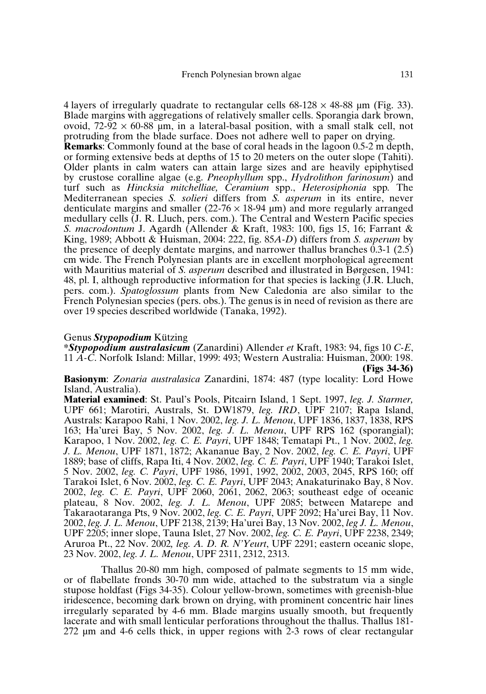4 layers of irregularly quadrate to rectangular cells  $68-128 \times 48-88$  µm (Fig. 33). Blade margins with aggregations of relatively smaller cells. Sporangia dark brown, ovoid,  $72-92 \times 60-88$  µm, in a lateral-basal position, with a small stalk cell, not protruding from the blade surface. Does not adhere well to paper on drying. **Remarks**: Commonly found at the base of coral heads in the lagoon 0.5-2 m depth, or forming extensive beds at depths of 15 to 20 meters on the outer slope (Tahiti). Older plants in calm waters can attain large sizes and are heavily epiphytised by crustose coralline algae (e.g. *Pneophyllum* spp., *Hydrolithon farinosum*) and turf such as *Hincksia mitchelliae, Ceramium* spp., *Heterosiphonia* spp*.* The Mediterranean species *S. solieri* differs from *S. asperum* in its entire, never denticulate margins and smaller  $(22\n-76 \times 18\n-94 \mu m)$  and more regularly arranged medullary cells (J. R. Lluch, pers. com.). The Central and Western Pacific species *S. macrodontum* J. Agardh (Allender & Kraft, 1983: 100, figs 15, 16; Farrant & King, 1989; Abbott & Huisman, 2004: 222, fig. 85*A-D*) differs from *S. asperum* by the presence of deeply dentate margins, and narrower thallus branches 0.3-1 (2.5) cm wide. The French Polynesian plants are in excellent morphological agreement with Mauritius material of *S. asperum* described and illustrated in Børgesen, 1941: 48, pl. I, although reproductive information for that species is lacking (J.R. Lluch, pers. com.). *Spatoglossum* plants from New Caledonia are also similar to the French Polynesian species (pers. obs.). The genus is in need of revision as there are over 19 species described worldwide (Tanaka, 1992).

#### Genus *Stypopodium* Kützing

**\****Stypopodium australasicum* (Zanardini) Allender *et* Kraft, 1983: 94, figs 10 *C-E*, 11 *A-C*. Norfolk Island: Millar, 1999: 493; Western Australia: Huisman, 2000: 198. **(Figs 34-36)**

**Basionym**: *Zonaria australasica* Zanardini, 1874: 487 (type locality: Lord Howe Island, Australia).

**Material examined**: St. Paul's Pools, Pitcairn Island, 1 Sept. 1997, *leg. J. Starmer,* UPF 661; Marotiri, Australs, St. DW1879, *leg. IRD*, UPF 2107; Rapa Island, Australs: Karapoo Rahi, 1 Nov. 2002, *leg. J. L. Menou*, UPF 1836, 1837, 1838, RPS 163; Ha'urei Bay, 5 Nov. 2002, *leg. J. L. Menou*, UPF RPS 162 (sporangial); Karapoo, 1 Nov. 2002, *leg. C. E. Payri*, UPF 1848; Tematapi Pt., 1 Nov. 2002, *leg. J. L. Menou*, UPF 1871, 1872; Akananue Bay, 2 Nov. 2002, *leg. C. E. Payri*, UPF 1889; base of cliffs, Rapa Iti, 4 Nov. 2002, *leg. C. E. Payri*, UPF 1940; Tarakoi Islet, 5 Nov. 2002, *leg. C. Payri*, UPF 1986, 1991, 1992, 2002, 2003, 2045, RPS 160; off Tarakoi Islet, 6 Nov. 2002, *leg. C. E. Payri*, UPF 2043; Anakaturinako Bay, 8 Nov. 2002, *leg. C. E. Payri*, UPF 2060, 2061, 2062, 2063; southeast edge of oceanic plateau, 8 Nov. 2002, *leg. J. L. Menou*, UPF 2085; between Matarepe and Takaraotaranga Pts, 9 Nov. 2002, *leg. C. E. Payri*, UPF 2092; Ha'urei Bay, 11 Nov. 2002, *leg. J. L. Menou*, UPF 2138, 2139; Ha'urei Bay, 13 Nov. 2002, *leg J. L. Menou*, UPF 2205; inner slope, Tauna Islet, 27 Nov. 2002, *leg. C. E. Payri*, UPF 2238, 2349; Aruroa Pt., 22 Nov. 2002*, leg. A. D. R. N'Yeurt*, UPF 2291; eastern oceanic slope, 23 Nov. 2002, *leg. J. L. Menou*, UPF 2311, 2312, 2313.

Thallus 20-80 mm high, composed of palmate segments to 15 mm wide, or of flabellate fronds 30-70 mm wide, attached to the substratum via a single stupose holdfast (Figs 34-35). Colour yellow-brown, sometimes with greenish-blue iridescence, becoming dark brown on drying, with prominent concentric hair lines irregularly separated by 4-6 mm. Blade margins usually smooth, but frequently lacerate and with small lenticular perforations throughout the thallus. Thallus 181- 272 µm and 4-6 cells thick, in upper regions with 2-3 rows of clear rectangular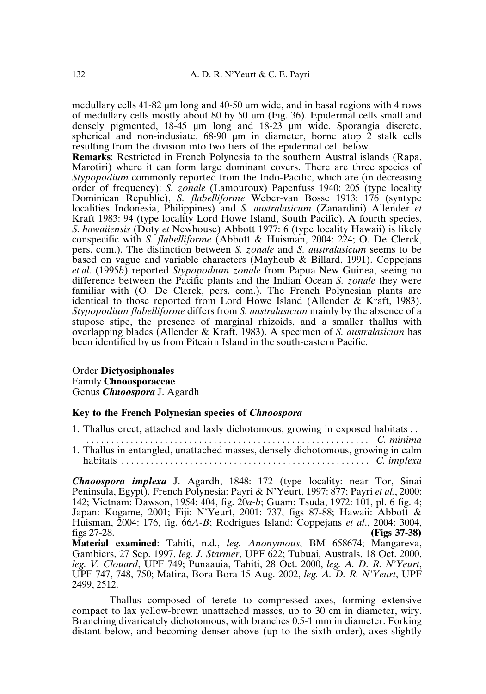medullary cells 41-82 µm long and 40-50 µm wide, and in basal regions with 4 rows of medullary cells mostly about 80 by 50  $\mu$ m (Fig. 36). Epidermal cells small and densely pigmented, 18-45 µm long and 18-23 µm wide. Sporangia discrete, spherical and non-indusiate,  $68-90$  µm in diameter, borne atop 2 stalk cells resulting from the division into two tiers of the epidermal cell below.

**Remarks**: Restricted in French Polynesia to the southern Austral islands (Rapa, Marotiri) where it can form large dominant covers. There are three species of *Stypopodium* commonly reported from the Indo-Pacific, which are (in decreasing order of frequency): *S. zonale* (Lamouroux) Papenfuss 1940: 205 (type locality Dominican Republic), *S. flabelliforme* Weber-van Bosse 1913: 176 (syntype localities Indonesia, Philippines) and *S. australasicum* (Zanardini) Allender *et* Kraft 1983: 94 (type locality Lord Howe Island, South Pacific). A fourth species, *S. hawaiiensis* (Doty *et* Newhouse) Abbott 1977: 6 (type locality Hawaii) is likely conspecific with *S. flabelliforme* (Abbott & Huisman, 2004: 224; O. De Clerck, pers. com.). The distinction between *S. zonale* and *S. australasicum* seems to be based on vague and variable characters (Mayhoub & Billard, 1991). Coppejans *et al*. (1995*b*) reported *Stypopodium zonale* from Papua New Guinea, seeing no difference between the Pacific plants and the Indian Ocean *S. zonale* they were familiar with (O. De Clerck, pers. com.). The French Polynesian plants are identical to those reported from Lord Howe Island (Allender & Kraft, 1983). *Stypopodium flabelliforme* differs from *S. australasicum* mainly by the absence of a stupose stipe, the presence of marginal rhizoids, and a smaller thallus with overlapping blades (Allender & Kraft, 1983). A specimen of *S. australasicum* has been identified by us from Pitcairn Island in the south-eastern Pacific.

#### Order **Dictyosiphonales** Family **Chnoosporaceae** Genus *Chnoospora* J. Agardh

## **Key to the French Polynesian species of** *Chnoospora*

1. Thallus erect, attached and laxly dichotomous, growing in exposed habitats . . *. . . . . . . . . . . . . . . . . . . . . . . . . . . . . . . . . . . . . . . . . . . . . . . . . . . . . . . . . . C. minima* 1. Thallus in entangled, unattached masses, densely dichotomous, growing in calm habitats . . . . . . . . . . . . . . . . . . . . . . . . . . . . . . . . . . . . . . . . . . . . . . . . . . . *C. implexa*

*Chnoospora implexa* J. Agardh, 1848: 172 (type locality: near Tor, Sinai Peninsula, Egypt). French Polynesia: Payri & N'Yeurt, 1997: 877; Payri *et al.*, 2000: 142; Vietnam: Dawson, 1954: 404, fig. 20*a-b*; Guam: Tsuda, 1972: 101, pl. 6 fig. 4; Japan: Kogame, 2001; Fiji: N'Yeurt, 2001: 737, figs 87-88; Hawaii: Abbott & Huisman, 2004: 176, fig. 66*A-B*; Rodrigues Island: Coppejans *et al*., 2004: 3004, figs 27-28. **(Figs 37-38)**

**Material examined**: Tahiti, n.d., *leg. Anonymous*, BM 658674; Mangareva, Gambiers, 27 Sep. 1997, *leg. J. Starmer*, UPF 622; Tubuai, Australs, 18 Oct. 2000, *leg. V. Clouard*, UPF 749; Punaauia, Tahiti, 28 Oct. 2000, *leg. A. D. R. N'Yeurt*, UPF 747, 748, 750; Matira, Bora Bora 15 Aug. 2002, *leg. A. D. R. N'Yeurt*, UPF 2499, 2512.

Thallus composed of terete to compressed axes, forming extensive compact to lax yellow-brown unattached masses, up to 30 cm in diameter, wiry. Branching divaricately dichotomous, with branches 0.5-1 mm in diameter. Forking distant below, and becoming denser above (up to the sixth order), axes slightly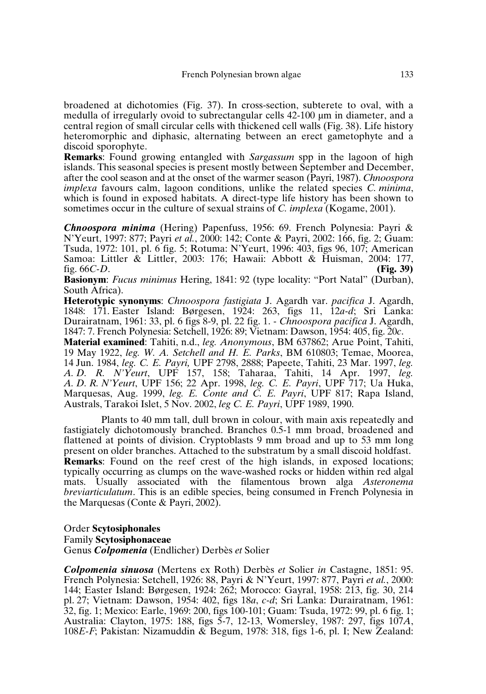broadened at dichotomies (Fig. 37). In cross-section, subterete to oval, with a medulla of irregularly ovoid to subrectangular cells 42-100 µm in diameter, and a central region of small circular cells with thickened cell walls (Fig. 38). Life history heteromorphic and diphasic, alternating between an erect gametophyte and a discoid sporophyte.

**Remarks**: Found growing entangled with *Sargassum* spp in the lagoon of high islands. This seasonal species is present mostly between September and December, after the cool season and at the onset of the warmer season (Payri, 1987). *Chnoospora implexa* favours calm, lagoon conditions, unlike the related species *C. minima*, which is found in exposed habitats. A direct-type life history has been shown to sometimes occur in the culture of sexual strains of *C. implexa* (Kogame, 2001).

*Chnoospora minima* (Hering) Papenfuss, 1956: 69. French Polynesia: Payri & N'Yeurt, 1997: 877; Payri *et al.*, 2000: 142; Conte & Payri, 2002: 166, fig. 2; Guam: Tsuda, 1972: 101, pl. 6 fig. 5; Rotuma: N'Yeurt, 1996: 403, figs 96, 107; American Samoa: Littler & Littler, 2003: 176; Hawaii: Abbott & Huisman, 2004: 177, fig. 66C-D. fig. 66*C-D*. **(Fig. 39)**

**Basionym**: *Fucus minimus* Hering, 1841: 92 (type locality: "Port Natal" (Durban), South Africa).

**Heterotypic synonyms**: *Chnoospora fastigiata* J. Agardh var. *pacifica* J. Agardh, 1848: 171. Easter Island: Børgesen, 1924: 263, figs 11, 12*a-d*; Sri Lanka: Durairatnam, 1961: 33, pl. 6 figs 8-9, pl. 22 fig. 1. - *Chnoospora pacifica* J. Agardh, 1847: 7. French Polynesia: Setchell, 1926: 89; Vietnam: Dawson, 1954: 405, fig. 20*c*.

**Material examined**: Tahiti, n.d., *leg. Anonymous*, BM 637862; Arue Point, Tahiti, 19 May 1922, *leg. W. A. Setchell and H. E. Parks*, BM 610803; Temae, Moorea, 14 Jun. 1984, *leg. C. E. Payri,* UPF 2798, 2888; Papeete, Tahiti, 23 Mar. 1997, *leg. A. D. R. N'Yeurt*, UPF 157, 158; Taharaa, Tahiti, 14 Apr. 1997, *leg. A. D. R. N'Yeurt*, UPF 156; 22 Apr. 1998, *leg. C. E. Payri*, UPF 717; Ua Huka, Marquesas, Aug. 1999, *leg. E. Conte and C. E. Payri*, UPF 817; Rapa Island, Australs, Tarakoi Islet, 5 Nov. 2002, *leg C. E. Payri*, UPF 1989, 1990.

Plants to 40 mm tall, dull brown in colour, with main axis repeatedly and fastigiately dichotomously branched. Branches 0.5-1 mm broad, broadened and flattened at points of division. Cryptoblasts 9 mm broad and up to 53 mm long present on older branches. Attached to the substratum by a small discoid holdfast. **Remarks**: Found on the reef crest of the high islands, in exposed locations; typically occurring as clumps on the wave-washed rocks or hidden within red algal mats. Usually associated with the filamentous brown alga *Asteronema breviarticulatum*. This is an edible species, being consumed in French Polynesia in the Marquesas (Conte & Payri, 2002).

## Order **Scytosiphonales** Family **Scytosiphonaceae** Genus *Colpomenia* (Endlicher) Derbès *et* Solier

*Colpomenia sinuosa* (Mertens ex Roth) Derbès *et* Solier *in* Castagne, 1851: 95. French Polynesia: Setchell, 1926: 88, Payri & N'Yeurt, 1997: 877, Payri *et al.*, 2000: 144; Easter Island: Børgesen, 1924: 262; Morocco: Gayral, 1958: 213, fig. 30, 214 pl. 27; Vietnam: Dawson, 1954: 402, figs 18*a*, *c-d*; Sri Lanka: Durairatnam, 1961: 32, fig. 1; Mexico: Earle, 1969: 200, figs 100-101; Guam: Tsuda, 1972: 99, pl. 6 fig. 1; Australia: Clayton, 1975: 188, figs 5-7, 12-13, Womersley, 1987: 297, figs 107*A*, 108*E-F*; Pakistan: Nizamuddin & Begum, 1978: 318, figs 1-6, pl. I; New Zealand: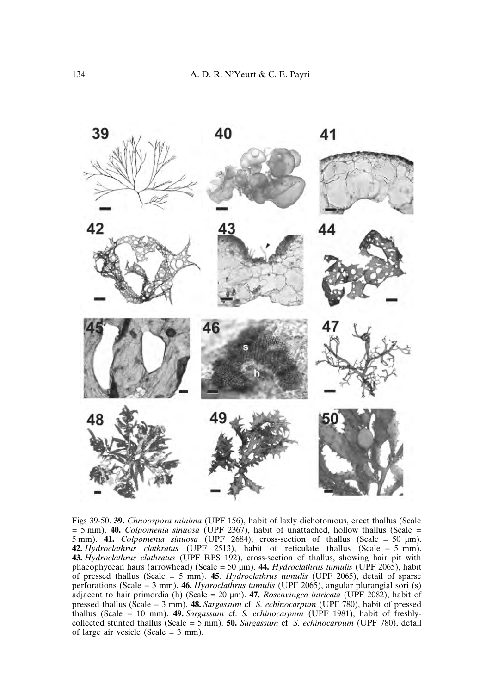

Figs 39-50. **39.** *Chnoospora minima* (UPF 156), habit of laxly dichotomous, erect thallus (Scale = 5 mm). **40.** *Colpomenia sinuosa* (UPF 2367), habit of unattached, hollow thallus (Scale = 5 mm). **41.** *Colpomenia sinuosa* (UPF 2684), cross-section of thallus (Scale = 50 µm). **42.** *Hydroclathrus clathratus* (UPF 2513), habit of reticulate thallus (Scale =5mm). **43.** *Hydroclathrus clathratus* (UPF RPS 192), cross-section of thallus, showing hair pit with phaeophycean hairs (arrowhead) (Scale = 50 µm). **44.** *Hydroclathrus tumulis* (UPF 2065), habit of pressed thallus (Scale = 5 mm). **45**. *Hydroclathrus tumulis* (UPF 2065), detail of sparse perforations (Scale = 3 mm). **46.** *Hydroclathrus tumulis* (UPF 2065), angular plurangial sori (s) adjacent to hair primordia (h) (Scale = 20 µm). **47.** *Rosenvingea intricata* (UPF 2082), habit of pressed thallus (Scale = 3 mm). **48.** *Sargassum* cf. *S. echinocarpum* (UPF 780), habit of pressed thallus (Scale = 10 mm). **49.** *Sargassum* cf. *S. echinocarpum* (UPF 1981), habit of freshlycollected stunted thallus (Scale = 5 mm). **50.** *Sargassum* cf. *S. echinocarpum* (UPF 780), detail of large air vesicle (Scale = 3 mm).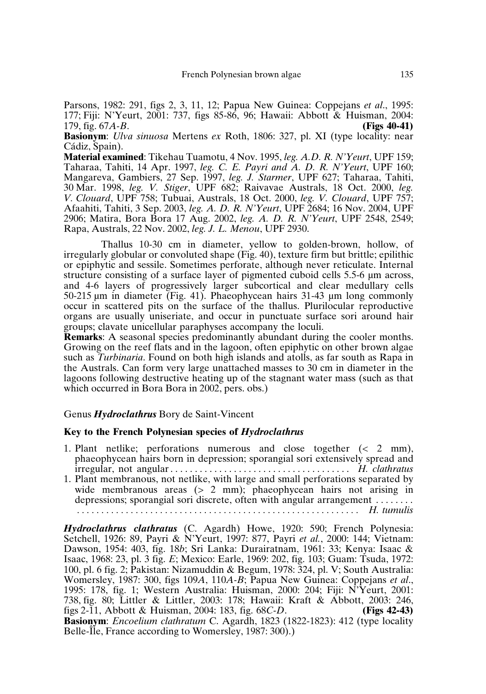Parsons, 1982: 291, figs 2, 3, 11, 12; Papua New Guinea: Coppejans *et al*., 1995: 177; Fiji: N'Yeurt, 2001: 737, figs 85-86, 96; Hawaii: Abbott & Huisman, 2004: 179, fig. 67A-B. (Figs 40-41) 179, fig. 67*A-B*. **(Figs 40-41)**

**Basionym**: *Ulva sinuosa* Mertens *ex* Roth, 1806: 327, pl. XI (type locality: near Cádiz, Spain).

**Material examined**: Tikehau Tuamotu, 4 Nov. 1995, *leg. A.D. R. N'Yeurt*, UPF 159; Taharaa, Tahiti, 14 Apr. 1997, *leg. C. E. Payri and A. D. R. N'Yeurt*, UPF 160; Mangareva, Gambiers, 27 Sep. 1997, *leg. J. Starmer*, UPF 627; Taharaa, Tahiti, 30 Mar. 1998, *leg. V. Stiger*, UPF 682; Raivavae Australs, 18 Oct. 2000, *leg. V. Clouard*, UPF 758; Tubuai, Australs, 18 Oct. 2000, *leg. V. Clouard*, UPF 757; Afaahiti, Tahiti, 3 Sep. 2003, *leg. A. D. R. N'Yeurt*, UPF 2684; 16 Nov. 2004, UPF 2906; Matira, Bora Bora 17 Aug. 2002, *leg. A. D. R. N'Yeurt*, UPF 2548, 2549; Rapa, Australs, 22 Nov. 2002, *leg. J. L. Menou*, UPF 2930.

Thallus 10-30 cm in diameter, yellow to golden-brown, hollow, of irregularly globular or convoluted shape (Fig. 40), texture firm but brittle; epilithic or epiphytic and sessile. Sometimes perforate, although never reticulate. Internal structure consisting of a surface layer of pigmented cuboid cells 5.5-6 µm across, and 4-6 layers of progressively larger subcortical and clear medullary cells 50-215 µm in diameter (Fig. 41). Phaeophycean hairs 31-43 µm long commonly occur in scattered pits on the surface of the thallus. Plurilocular reproductive organs are usually uniseriate, and occur in punctuate surface sori around hair groups; clavate unicellular paraphyses accompany the loculi.

**Remarks**: A seasonal species predominantly abundant during the cooler months. Growing on the reef flats and in the lagoon, often epiphytic on other brown algae such as *Turbinaria*. Found on both high islands and atolls, as far south as Rapa in the Australs. Can form very large unattached masses to 30 cm in diameter in the lagoons following destructive heating up of the stagnant water mass (such as that which occurred in Bora Bora in 2002, pers. obs.)

#### Genus *Hydroclathrus* Bory de Saint-Vincent

#### **Key to the French Polynesian species of** *Hydroclathrus*

- 1. Plant netlike; perforations numerous and close together (< 2 mm), phaeophycean hairs born in depression; sporangial sori extensively spread and irregular, not angular. . . . . . . . . . . . . . . . . . . . . . . . . . . . . . . . . . . . . *H. clathratus*
- 1. Plant membranous, not netlike, with large and small perforations separated by wide membranous areas (> 2 mm); phaeophycean hairs not arising in depressions; sporangial sori discrete, often with angular arrangement . . . . . . . . *. . . . . . . . . . . . . . . . . . . . . . . . . . . . . . . . . . . . . . . . . . . . . . . . . . . . . . . . . . H. tumulis*

*Hydroclathrus clathratus* (C. Agardh) Howe, 1920: 590; French Polynesia: Setchell, 1926: 89, Payri & N'Yeurt, 1997: 877, Payri *et al.*, 2000: 144; Vietnam: Dawson, 1954: 403, fig. 18*b*; Sri Lanka: Durairatnam, 1961: 33; Kenya: Isaac & Isaac, 1968: 23, pl. 3 fig. *E*; Mexico: Earle, 1969: 202, fig. 103; Guam: Tsuda, 1972: 100, pl. 6 fig. 2; Pakistan: Nizamuddin & Begum, 1978: 324, pl. V; South Australia: Womersley, 1987: 300, figs 109*A*, 110*A-B*; Papua New Guinea: Coppejans *et al*., 1995: 178, fig. 1; Western Australia: Huisman, 2000: 204; Fiji: N'Yeurt, 2001: 738, fig. 80; Littler & Littler, 2003: 178; Hawaii: Kraft & Abbott, 2003: 246, figs 2-11, Abbott & Huisman, 2004: 183, fig. 68*C-D*. (Figs 42-43) figs 2-11, Abbott & Huisman, 2004: 183, fig. 68*C-D*. **(Figs 42-43) Basionym**: *Encoelium clathratum* C. Agardh, 1823 (1822-1823): 412 (type locality Belle-Île, France according to Womersley, 1987: 300).)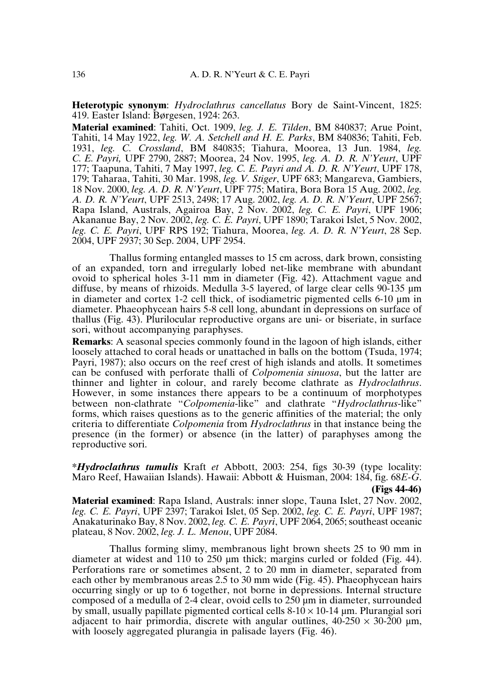**Heterotypic synonym**: *Hydroclathrus cancellatus* Bory de Saint-Vincent, 1825: 419. Easter Island: Børgesen, 1924: 263.

**Material examined**: Tahiti, Oct. 1909, *leg. J. E. Tilden*, BM 840837; Arue Point, Tahiti, 14 May 1922, *leg. W. A. Setchell and H. E. Parks*, BM 840836; Tahiti, Feb. 1931, *leg. C. Crossland*, BM 840835; Tiahura, Moorea, 13 Jun. 1984, *leg. C. E. Payri,* UPF 2790, 2887; Moorea, 24 Nov. 1995, *leg. A. D. R. N'Yeurt*, UPF 177; Taapuna, Tahiti, 7 May 1997, *leg. C. E. Payri and A. D. R. N'Yeurt*, UPF 178, 179; Taharaa, Tahiti, 30 Mar. 1998, *leg. V. Stiger*, UPF 683; Mangareva, Gambiers, 18 Nov. 2000, *leg. A. D. R. N'Yeurt*, UPF 775; Matira, Bora Bora 15 Aug. 2002, *leg. A. D. R. N'Yeurt*, UPF 2513, 2498; 17 Aug. 2002, *leg. A. D. R. N'Yeurt*, UPF 2567; Rapa Island, Australs, Agairoa Bay, 2 Nov. 2002, *leg. C. E. Payri*, UPF 1906; Akananue Bay, 2 Nov. 2002, *leg. C. E. Payri*, UPF 1890; Tarakoi Islet, 5 Nov. 2002, *leg. C. E. Payri*, UPF RPS 192; Tiahura, Moorea, *leg. A. D. R. N'Yeurt*, 28 Sep. 2004, UPF 2937; 30 Sep. 2004, UPF 2954.

Thallus forming entangled masses to 15 cm across, dark brown, consisting of an expanded, torn and irregularly lobed net-like membrane with abundant ovoid to spherical holes 3-11 mm in diameter (Fig. 42). Attachment vague and diffuse, by means of rhizoids. Medulla 3-5 layered, of large clear cells 90-135 µm in diameter and cortex 1-2 cell thick, of isodiametric pigmented cells 6-10 µm in diameter. Phaeophycean hairs 5-8 cell long, abundant in depressions on surface of thallus (Fig. 43). Plurilocular reproductive organs are uni- or biseriate, in surface sori, without accompanying paraphyses.

**Remarks**: A seasonal species commonly found in the lagoon of high islands, either loosely attached to coral heads or unattached in balls on the bottom (Tsuda, 1974; Payri, 1987); also occurs on the reef crest of high islands and atolls. It sometimes can be confused with perforate thalli of *Colpomenia sinuosa*, but the latter are thinner and lighter in colour, and rarely become clathrate as *Hydroclathrus*. However, in some instances there appears to be a continuum of morphotypes between non-clathrate "*Colpomenia*-like" and clathrate "*Hydroclathrus*-like" forms, which raises questions as to the generic affinities of the material; the only criteria to differentiate *Colpomenia* from *Hydroclathrus* in that instance being the presence (in the former) or absence (in the latter) of paraphyses among the reproductive sori.

**\****Hydroclathrus tumulis* Kraft *et* Abbott, 2003: 254, figs 30-39 (type locality: Maro Reef, Hawaiian Islands). Hawaii: Abbott & Huisman, 2004: 184, fig. 68*E-G*.

**(Figs 44-46)**

**Material examined**: Rapa Island, Australs: inner slope, Tauna Islet, 27 Nov. 2002, *leg. C. E. Payri*, UPF 2397; Tarakoi Islet, 05 Sep. 2002, *leg. C. E. Payri*, UPF 1987; Anakaturinako Bay, 8 Nov. 2002,*leg. C. E. Payri*, UPF 2064, 2065; southeast oceanic plateau, 8 Nov. 2002, *leg. J. L. Menou*, UPF 2084.

Thallus forming slimy, membranous light brown sheets 25 to 90 mm in diameter at widest and 110 to 250 µm thick; margins curled or folded (Fig. 44). Perforations rare or sometimes absent, 2 to 20 mm in diameter, separated from each other by membranous areas 2.5 to 30 mm wide (Fig. 45). Phaeophycean hairs occurring singly or up to 6 together, not borne in depressions. Internal structure composed of a medulla of 2-4 clear, ovoid cells to 250 µm in diameter, surrounded by small, usually papillate pigmented cortical cells  $8-10 \times 10-14$  µm. Plurangial sori adjacent to hair primordia, discrete with angular outlines,  $40-250 \times 30-200 \text{ µm}$ , with loosely aggregated plurangia in palisade layers (Fig. 46).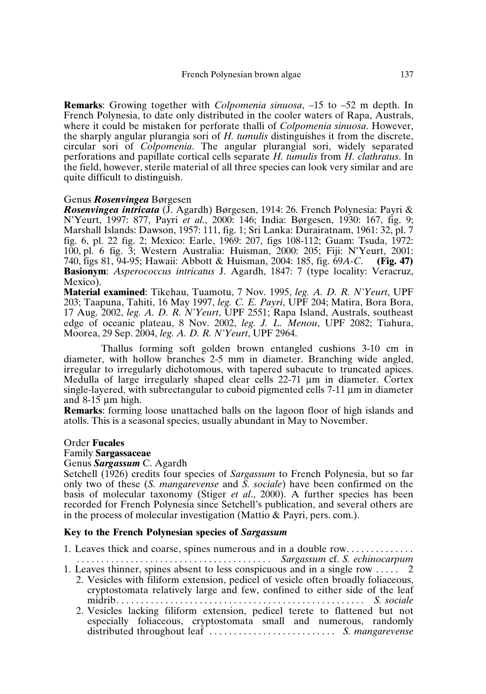**Remarks**: Growing together with *Colpomenia sinuosa*, –15 to –52 m depth. In French Polynesia, to date only distributed in the cooler waters of Rapa, Australs, where it could be mistaken for perforate thalli of *Colpomenia sinuosa*. However, the sharply angular plurangia sori of *H. tumulis* distinguishes it from the discrete, circular sori of *Colpomenia*. The angular plurangial sori, widely separated perforations and papillate cortical cells separate *H. tumulis* from *H. clathratus*. In the field, however, sterile material of all three species can look very similar and are quite difficult to distinguish.

#### Genus *Rosenvingea* Børgesen

*Rosenvingea intricata* (J. Agardh) Børgesen, 1914: 26. French Polynesia: Payri & N'Yeurt, 1997: 877, Payri *et al.*, 2000: 146; India: Børgesen, 1930: 167, fig. 9; Marshall Islands: Dawson, 1957: 111, fig. 1; Sri Lanka: Durairatnam, 1961: 32, pl. 7 fig. 6, pl. 22 fig. 2; Mexico: Earle, 1969: 207, figs 108-112; Guam: Tsuda, 1972: 100, pl. 6 fig. 3; Western Australia: Huisman, 2000: 205; Fiji: N'Yeurt, 2001: 740. figs 81, 94-95; Hawaii: Abbott & Huisman, 2004: 185, fig. 69A-C. (Fig. 47) 740, figs 81, 94-95; Hawaii: Abbott & Huisman, 2004: 185, fig. 69*A-C*. **(Fig. 47) Basionym**: *Asperococcus intricatus* J. Agardh, 1847: 7 (type locality: Veracruz, Mexico).

**Material examined**: Tikehau, Tuamotu, 7 Nov. 1995, *leg. A. D. R. N'Yeurt*, UPF 203; Taapuna, Tahiti, 16 May 1997, *leg. C. E. Payri*, UPF 204; Matira, Bora Bora, 17 Aug. 2002, *leg. A. D. R. N'Yeurt*, UPF 2551; Rapa Island, Australs, southeast edge of oceanic plateau, 8 Nov. 2002, *leg. J. L. Menou*, UPF 2082; Tiahura, Moorea, 29 Sep. 2004, *leg. A. D. R. N'Yeurt*, UPF 2964.

Thallus forming soft golden brown entangled cushions 3-10 cm in diameter, with hollow branches 2-5 mm in diameter. Branching wide angled, irregular to irregularly dichotomous, with tapered subacute to truncated apices. Medulla of large irregularly shaped clear cells 22-71 µm in diameter. Cortex single-layered, with subrectangular to cuboid pigmented cells 7-11 µm in diameter and  $8-15 \mu m$  high.

**Remarks**: forming loose unattached balls on the lagoon floor of high islands and atolls. This is a seasonal species, usually abundant in May to November.

#### Order **Fucales**

#### Family **Sargassaceae**

#### Genus *Sargassum* C. Agardh

Setchell (1926) credits four species of *Sargassum* to French Polynesia, but so far only two of these (*S. mangarevense* and *S. sociale*) have been confirmed on the basis of molecular taxonomy (Stiger *et al*., 2000). A further species has been recorded for French Polynesia since Setchell's publication, and several others are in the process of molecular investigation (Mattio & Payri, pers. com.).

## **Key to the French Polynesian species of** *Sargassum*

1. Leaves thick and coarse, spines numerous and in a double row. . . . . . . . . . . . . . *. . . . . . . . . . . . . . . . . . . . . . . . . . . . . . . . . . . . . . . . Sargassum* cf. *S. echinocarpum* 1. Leaves thinner, spines absent to less conspicuous and in a single row . . . . . 2 2. Vesicles with filiform extension, pedicel of vesicle often broadly foliaceous, cryptostomata relatively large and few, confined to either side of the leaf midrib. . . . . . . . . . . . . . . . . . . . . . . . . . . . . . . . . . . . . . . . . . . . . . . . . . . *S. sociale* 2. Vesicles lacking filiform extension, pedicel terete to flattened but not especially foliaceous, cryptostomata small and numerous, randomly distributed throughout leaf . . . . . . . . . . . . . . . . . . . . . . . . . . *S. mangarevense*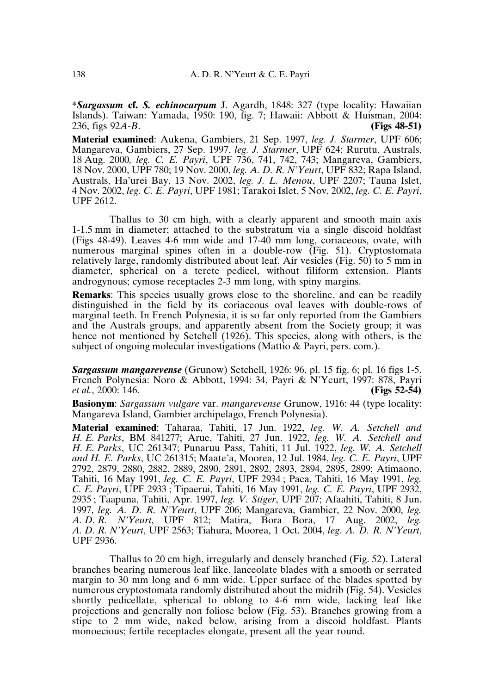**\****Sargassum* **cf.** *S. echinocarpum* J. Agardh, 1848: 327 (type locality: Hawaiian Islands). Taiwan: Yamada, 1950: 190, fig. 7; Hawaii: Abbott & Huisman, 2004: 236, figs  $92A - B$ . (Figs 48-51) 236, figs  $92A - B$ .

**Material examined**: Aukena, Gambiers, 21 Sep. 1997, *leg. J. Starmer*, UPF 606; Mangareva, Gambiers, 27 Sep. 1997, *leg. J. Starmer*, UPF 624; Rurutu, Australs, 18 Aug. 2000*, leg. C. E. Payri*, UPF 736, 741, 742, 743; Mangareva, Gambiers, 18 Nov. 2000, UPF 780; 19 Nov. 2000, *leg. A. D. R. N'Yeurt*, UPF 832; Rapa Island, Australs, Ha'urei Bay, 13 Nov. 2002, *leg. J. L. Menou*, UPF 2207; Tauna Islet, 4 Nov. 2002, *leg. C. E. Payri*, UPF 1981; Tarakoi Islet, 5 Nov. 2002, *leg. C. E. Payri*, UPF 2612.

Thallus to 30 cm high, with a clearly apparent and smooth main axis 1-1.5 mm in diameter; attached to the substratum via a single discoid holdfast (Figs 48-49). Leaves 4-6 mm wide and 17-40 mm long, coriaceous, ovate, with numerous marginal spines often in a double-row (Fig. 51). Cryptostomata relatively large, randomly distributed about leaf. Air vesicles (Fig. 50) to 5 mm in diameter, spherical on a terete pedicel, without filiform extension. Plants androgynous; cymose receptacles 2-3 mm long, with spiny margins.

**Remarks**: This species usually grows close to the shoreline, and can be readily distinguished in the field by its coriaceous oval leaves with double-rows of marginal teeth. In French Polynesia, it is so far only reported from the Gambiers and the Australs groups, and apparently absent from the Society group; it was hence not mentioned by Setchell (1926). This species, along with others, is the subject of ongoing molecular investigations (Mattio & Payri, pers. com.).

*Sargassum mangarevense* (Grunow) Setchell, 1926: 96, pl. 15 fig. 6; pl. 16 figs 1-5. French Polynesia: Noro & Abbott, 1994: 34, Payri & N'Yeurt, 1997: 878, Payri et al., 2000: 146. *et al.*, 2000: 146.

**Basionym**: *Sargassum vulgare* var. *mangarevense* Grunow, 1916: 44 (type locality: Mangareva Island, Gambier archipelago, French Polynesia).

**Material examined**: Taharaa, Tahiti, 17 Jun. 1922, *leg. W. A. Setchell and H. E. Parks*, BM 841277; Arue, Tahiti, 27 Jun. 1922, *leg. W. A. Setchell and H. E. Parks*, UC 261347; Punaruu Pass, Tahiti, 11 Jul. 1922, *leg. W. A. Setchell and H. E. Parks*, UC 261315; Maate'a, Moorea, 12 Jul. 1984, *leg. C. E. Payri*, UPF 2792, 2879, 2880, 2882, 2889, 2890, 2891, 2892, 2893, 2894, 2895, 2899; Atimaono, Tahiti, 16 May 1991, *leg. C. E. Payri*, UPF 2934 ; Paea, Tahiti, 16 May 1991, *leg. C. E. Payri*, UPF 2933 ; Tipaerui, Tahiti, 16 May 1991, *leg. C. E. Payri*, UPF 2932, 2935 ; Taapuna, Tahiti, Apr. 1997, *leg. V. Stiger*, UPF 207; Afaahiti, Tahiti, 8 Jun. 1997, *leg. A. D. R. N'Yeurt*, UPF 206; Mangareva, Gambier, 22 Nov. 2000, *leg. A. D. R. N'Yeurt*, UPF 812; Matira, Bora Bora, 17 Aug. 2002, *leg. A. D. R. N'Yeurt*, UPF 2563; Tiahura, Moorea, 1 Oct. 2004, *leg. A. D. R. N'Yeurt*, UPF 2936.

Thallus to 20 cm high, irregularly and densely branched (Fig. 52). Lateral branches bearing numerous leaf like, lanceolate blades with a smooth or serrated margin to 30 mm long and 6 mm wide. Upper surface of the blades spotted by numerous cryptostomata randomly distributed about the midrib (Fig. 54). Vesicles shortly pedicellate, spherical to oblong to 4-6 mm wide, lacking leaf like projections and generally non foliose below (Fig. 53). Branches growing from a stipe to 2 mm wide, naked below, arising from a discoid holdfast. Plants monoecious; fertile receptacles elongate, present all the year round.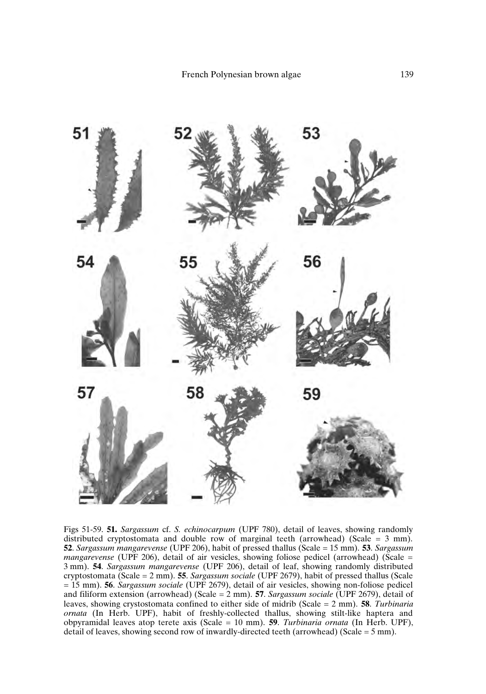

Figs 51-59. **51.** *Sargassum* cf. *S. echinocarpum* (UPF 780), detail of leaves, showing randomly distributed cryptostomata and double row of marginal teeth (arrowhead) (Scale  $=$  3 mm). **52**. *Sargassum mangarevense* (UPF 206), habit of pressed thallus (Scale = 15 mm). **53**. *Sargassum mangarevense* (UPF 206), detail of air vesicles, showing foliose pedicel (arrowhead) (Scale = 3 mm). **54**. *Sargassum mangarevense* (UPF 206), detail of leaf, showing randomly distributed cryptostomata (Scale = 2 mm). **55**. *Sargassum sociale* (UPF 2679), habit of pressed thallus (Scale = 15 mm). **56**. *Sargassum sociale* (UPF 2679), detail of air vesicles, showing non-foliose pedicel and filiform extension (arrowhead) (Scale = 2 mm). **57**. *Sargassum sociale* (UPF 2679), detail of leaves, showing crystostomata confined to either side of midrib (Scale = 2 mm). **58**. *Turbinaria ornata* (In Herb. UPF), habit of freshly-collected thallus, showing stilt-like haptera and obpyramidal leaves atop terete axis (Scale = 10 mm). **59**. *Turbinaria ornata* (In Herb. UPF), detail of leaves, showing second row of inwardly-directed teeth (arrowhead) (Scale = 5 mm).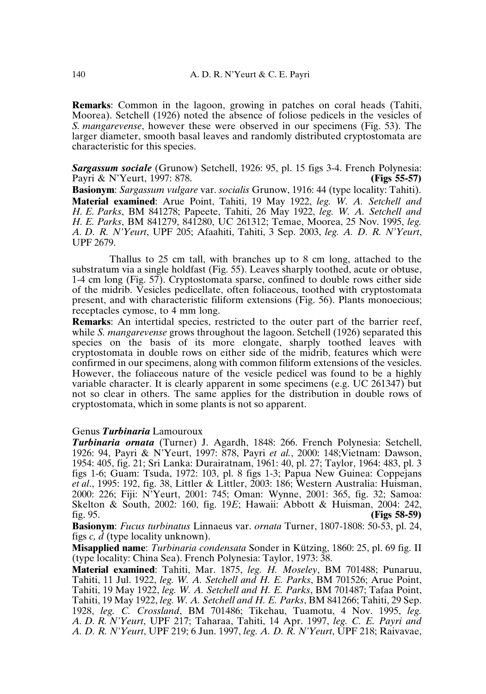**Remarks**: Common in the lagoon, growing in patches on coral heads (Tahiti, Moorea). Setchell (1926) noted the absence of foliose pedicels in the vesicles of *S. mangarevense*, however these were observed in our specimens (Fig. 53). The larger diameter, smooth basal leaves and randomly distributed cryptostomata are characteristic for this species.

**Sargassum sociale** (Grunow) Setchell, 1926: 95, pl. 15 figs 3-4. French Polynesia: Pavri & N'Yeurt, 1997: 878. **(Figs 55-57)** Payri & N'Yeurt, 1997: 878.

**Basionym**: *Sargassum vulgare* var. *socialis* Grunow, 1916: 44 (type locality: Tahiti). **Material examined**: Arue Point, Tahiti, 19 May 1922, *leg. W. A. Setchell and H. E. Parks*, BM 841278; Papeete, Tahiti, 26 May 1922, *leg. W. A. Setchell and H. E. Parks*, BM 841279, 841280, UC 261312; Temae, Moorea, 25 Nov. 1995, *leg. A. D. R. N'Yeurt*, UPF 205; Afaahiti, Tahiti, 3 Sep. 2003, *leg. A. D. R. N'Yeurt*, UPF 2679.

Thallus to 25 cm tall, with branches up to 8 cm long, attached to the substratum via a single holdfast (Fig. 55). Leaves sharply toothed, acute or obtuse, 1-4 cm long (Fig. 57). Cryptostomata sparse, confined to double rows either side of the midrib. Vesicles pedicellate, often foliaceous, toothed with cryptostomata present, and with characteristic filiform extensions (Fig. 56). Plants monoecious; receptacles cymose, to 4 mm long.

**Remarks**: An intertidal species, restricted to the outer part of the barrier reef, while *S. mangarevense* grows throughout the lagoon. Setchell (1926) separated this species on the basis of its more elongate, sharply toothed leaves with cryptostomata in double rows on either side of the midrib, features which were confirmed in our specimens, along with common filiform extensions of the vesicles. However, the foliaceous nature of the vesicle pedicel was found to be a highly variable character. It is clearly apparent in some specimens (e.g. UC 261347) but not so clear in others. The same applies for the distribution in double rows of cryptostomata, which in some plants is not so apparent.

## Genus *Turbinaria* Lamouroux

*Turbinaria ornata* (Turner) J. Agardh, 1848: 266. French Polynesia: Setchell, 1926: 94, Payri & N'Yeurt, 1997: 878, Payri *et al.*, 2000: 148;Vietnam: Dawson, 1954: 405, fig. 21; Sri Lanka: Durairatnam, 1961: 40, pl. 27; Taylor, 1964: 483, pl. 3 figs 1-6; Guam: Tsuda, 1972: 103, pl. 8 figs 1-3; Papua New Guinea: Coppejans *et al*., 1995: 192, fig. 38, Littler & Littler, 2003: 186; Western Australia: Huisman, 2000: 226; Fiji: N'Yeurt, 2001: 745; Oman: Wynne, 2001: 365, fig. 32; Samoa: Skelton & South, 2002: 160, fig. 19E; Hawaii: Abbott & Huisman, 2004: 242, fig. 95. fig. 95. **(Figs 58-59)**

**Basionym**: *Fucus turbinatus* Linnaeus var. *ornata* Turner, 1807-1808: 50-53, pl. 24, figs *c, d* (type locality unknown).

**Misapplied name**: *Turbinaria condensata* Sonder in Kützing, 1860: 25, pl. 69 fig. II (type locality: China Sea). French Polynesia: Taylor, 1973: 38.

**Material examined**: Tahiti, Mar. 1875, *leg. H. Moseley*, BM 701488; Punaruu, Tahiti, 11 Jul. 1922, *leg. W. A. Setchell and H. E. Parks*, BM 701526; Arue Point, Tahiti, 19 May 1922, *leg. W. A. Setchell and H. E. Parks*, BM 701487; Tafaa Point, Tahiti, 19 May 1922, *leg. W. A. Setchell and H. E. Parks*, BM 841266; Tahiti, 29 Sep. 1928, *leg. C. Crossland*, BM 701486; Tikehau, Tuamotu, 4 Nov. 1995, *leg. A. D. R. N'Yeurt*, UPF 217; Taharaa, Tahiti, 14 Apr. 1997, *leg. C. E. Payri and A. D. R. N'Yeurt*, UPF 219; 6 Jun. 1997, *leg. A. D. R. N'Yeurt*, UPF 218; Raivavae,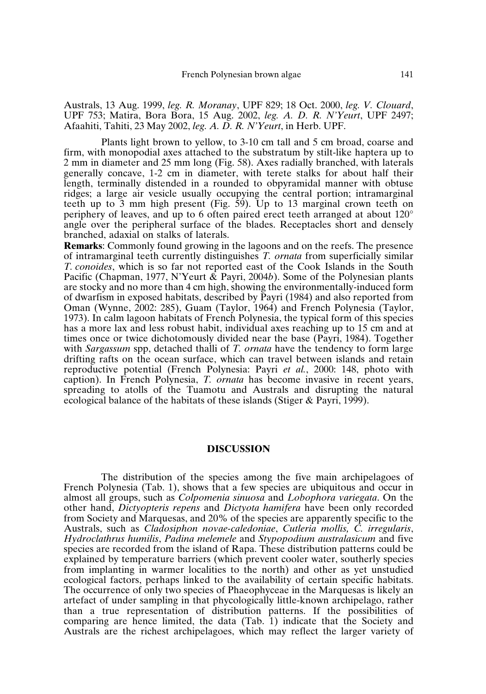Australs, 13 Aug. 1999, *leg. R. Moranay*, UPF 829; 18 Oct. 2000, *leg. V. Clouard*, UPF 753; Matira, Bora Bora, 15 Aug. 2002, *leg. A. D. R. N'Yeurt*, UPF 2497; Afaahiti, Tahiti, 23 May 2002, *leg. A. D. R. N'Yeurt*, in Herb. UPF.

Plants light brown to yellow, to 3-10 cm tall and 5 cm broad, coarse and firm, with monopodial axes attached to the substratum by stilt-like haptera up to 2 mm in diameter and 25 mm long (Fig. 58). Axes radially branched, with laterals generally concave, 1-2 cm in diameter, with terete stalks for about half their length, terminally distended in a rounded to obpyramidal manner with obtuse ridges; a large air vesicle usually occupying the central portion; intramarginal teeth up to 3 mm high present (Fig. 59). Up to 13 marginal crown teeth on periphery of leaves, and up to 6 often paired erect teeth arranged at about 120° angle over the peripheral surface of the blades. Receptacles short and densely branched, adaxial on stalks of laterals.

**Remarks**: Commonly found growing in the lagoons and on the reefs. The presence of intramarginal teeth currently distinguishes *T. ornata* from superficially similar *T. conoides*, which is so far not reported east of the Cook Islands in the South Pacific (Chapman, 1977, N'Yeurt & Payri, 2004*b*). Some of the Polynesian plants are stocky and no more than 4 cm high, showing the environmentally-induced form of dwarfism in exposed habitats, described by Payri (1984) and also reported from Oman (Wynne, 2002: 285), Guam (Taylor, 1964) and French Polynesia (Taylor, 1973). In calm lagoon habitats of French Polynesia, the typical form of this species has a more lax and less robust habit, individual axes reaching up to 15 cm and at times once or twice dichotomously divided near the base (Payri, 1984). Together with *Sargassum* spp, detached thalli of *T. ornata* have the tendency to form large drifting rafts on the ocean surface, which can travel between islands and retain reproductive potential (French Polynesia: Payri *et al.*, 2000: 148, photo with caption). In French Polynesia, *T. ornata* has become invasive in recent years, spreading to atolls of the Tuamotu and Australs and disrupting the natural ecological balance of the habitats of these islands (Stiger & Payri, 1999).

## **DISCUSSION**

The distribution of the species among the five main archipelagoes of French Polynesia (Tab. 1), shows that a few species are ubiquitous and occur in almost all groups, such as *Colpomenia sinuosa* and *Lobophora variegata*. On the other hand, *Dictyopteris repens* and *Dictyota hamifera* have been only recorded from Society and Marquesas, and 20% of the species are apparently specific to the Australs, such as *Cladosiphon novae-caledoniae*, *Cutleria mollis, C. irregularis*, *Hydroclathrus humilis*, *Padina melemele* and *Stypopodium australasicum* and five species are recorded from the island of Rapa. These distribution patterns could be explained by temperature barriers (which prevent cooler water, southerly species from implanting in warmer localities to the north) and other as yet unstudied ecological factors, perhaps linked to the availability of certain specific habitats. The occurrence of only two species of Phaeophyceae in the Marquesas is likely an artefact of under sampling in that phycologically little-known archipelago, rather than a true representation of distribution patterns. If the possibilities of comparing are hence limited, the data (Tab. 1) indicate that the Society and Australs are the richest archipelagoes, which may reflect the larger variety of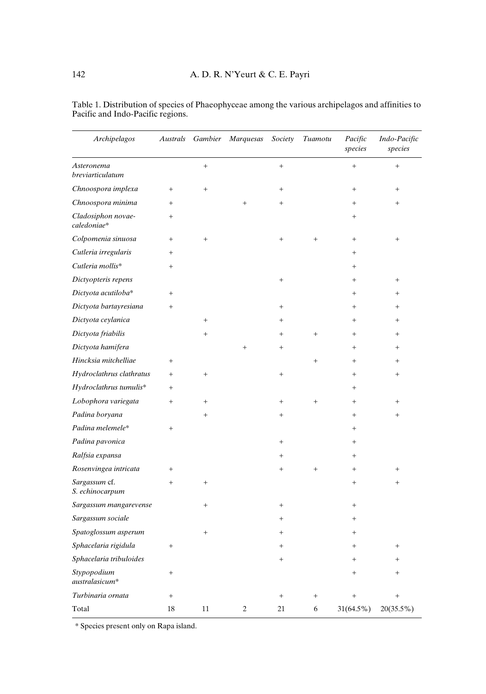| Archipelagos                      | Australs  | Gambier   | Marquesas      | Society | Tuamotu   | Pacific<br>species | Indo-Pacific<br>species |
|-----------------------------------|-----------|-----------|----------------|---------|-----------|--------------------|-------------------------|
| Asteronema<br>breviarticulatum    |           | $^{+}$    |                | $^{+}$  |           | $^{+}$             | $^{+}$                  |
| Chnoospora implexa                | $^{+}$    | $^{+}$    |                | $^{+}$  |           | $^{+}$             | $^{+}$                  |
| Chnoospora minima                 | $^{+}$    |           | $^{+}$         | $^{+}$  |           | $\ddot{}$          | $^{+}$                  |
| Cladosiphon novae-<br>caledoniae* | $^{+}$    |           |                |         |           | $^{+}$             |                         |
| Colpomenia sinuosa                | $+$       | $^{+}$    |                | $^{+}$  | $^{+}$    | $^{+}$             | $^{+}$                  |
| Cutleria irregularis              | $\ddot{}$ |           |                |         |           | $^{+}$             |                         |
| Cutleria mollis*                  | $^{+}$    |           |                |         |           | $\ddot{}$          |                         |
| Dictyopteris repens               |           |           |                | $^{+}$  |           | $^{+}$             | $^{+}$                  |
| Dictyota acutiloba*               | $^{+}$    |           |                |         |           | $\ddot{}$          | $^{+}$                  |
| Dictyota bartayresiana            | $^{+}$    |           |                | $^{+}$  |           | $\ddot{}$          | $^{+}$                  |
| Dictyota ceylanica                |           | $^{+}$    |                |         |           | $^{+}$             | $^{+}$                  |
| Dictyota friabilis                |           | $^{+}$    |                | $^{+}$  | $^{+}$    | $^{+}$             | $^{+}$                  |
| Dictyota hamifera                 |           |           | $^{+}$         | $^{+}$  |           | $^{+}$             | $^{+}$                  |
| Hincksia mitchelliae              | $^{+}$    |           |                |         | $^{+}$    | $\ddot{}$          | $^{+}$                  |
| Hydroclathrus clathratus          | $+$       | $+$       |                | $^{+}$  |           | $\ddot{}$          | $^{+}$                  |
| Hydroclathrus tumulis*            | $^{+}$    |           |                |         |           | $\ddot{}$          |                         |
| Lobophora variegata               | $^{+}$    | $\ddot{}$ |                | $^{+}$  | $\ddot{}$ | $^{+}$             | $^{+}$                  |
| Padina boryana                    |           |           |                | $^{+}$  |           | $\ddot{}$          | $^{+}$                  |
| Padina melemele*                  | $\ddot{}$ |           |                |         |           | $^{+}$             |                         |
| Padina pavonica                   |           |           |                | $^{+}$  |           | $^{+}$             |                         |
| Ralfsia expansa                   |           |           |                | $^+$    |           | $^{+}$             |                         |
| Rosenvingea intricata             | $^{+}$    |           |                | $^{+}$  | $\ddot{}$ | $\ddot{}$          | $^{+}$                  |
| Sargassum cf.<br>S. echinocarpum  | $+$       | $\div$    |                |         |           | $\ddot{}$          | $^{+}$                  |
| Sargassum mangarevense            |           |           |                | $^{+}$  |           | $^{+}$             |                         |
| Sargassum sociale                 |           |           |                | $^{+}$  |           | $^{+}$             |                         |
| Spatoglossum asperum              |           |           |                | $^{+}$  |           | $^{+}$             |                         |
| Sphacelaria rigidula              | $^{+}$    |           |                | $^+$    |           | $\overline{+}$     | $^{+}$                  |
| Sphacelaria tribuloides           |           |           |                | $^{+}$  |           | $^{+}$             | $^{+}$                  |
| Stypopodium<br>australasicum*     | $^{+}$    |           |                |         |           | $^{+}$             | $^{+}$                  |
| Turbinaria ornata                 | $^{+}$    |           |                | $^{+}$  |           | $\overline{+}$     | $^{+}$                  |
| Total                             | 18        | 11        | $\overline{c}$ | 21      | 6         | $31(64.5\%)$       | 20(35.5%)               |

Table 1. Distribution of species of Phaeophyceae among the various archipelagos and affinities to Pacific and Indo-Pacific regions.

\* Species present only on Rapa island.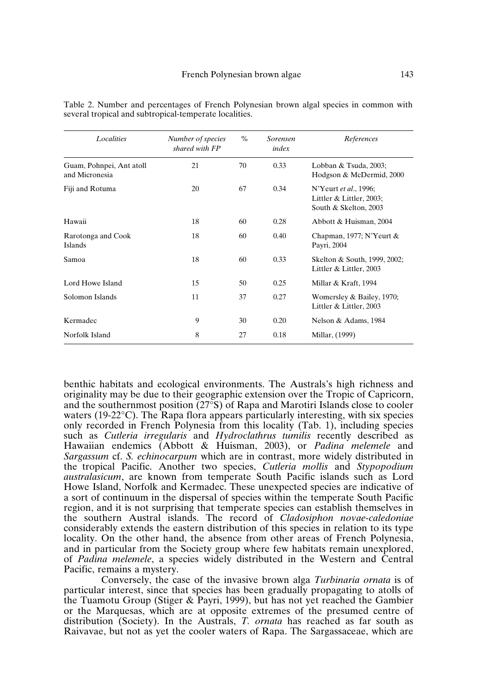| Localities                                 | Number of species<br>shared with FP | $\%$ | Sorensen<br>index | References                                                                 |
|--------------------------------------------|-------------------------------------|------|-------------------|----------------------------------------------------------------------------|
| Guam, Pohnpei, Ant atoll<br>and Micronesia | 21                                  | 70   | 0.33              | Lobban & Tsuda, 2003;<br>Hodgson & McDermid, 2000                          |
| Fiji and Rotuma                            | 20                                  | 67   | 0.34              | N'Yeurt et al., 1996;<br>Littler & Littler, 2003;<br>South & Skelton, 2003 |
| Hawaii                                     | 18                                  | 60   | 0.28              | Abbott & Huisman, 2004                                                     |
| Rarotonga and Cook<br>Islands              | 18                                  | 60   | 0.40              | Chapman, 1977; N'Yeurt $&$<br>Payri, 2004                                  |
| Samoa                                      | 18                                  | 60   | 0.33              | Skelton & South, 1999, 2002;<br>Littler & Littler, 2003                    |
| Lord Howe Island                           | 15                                  | 50   | 0.25              | Millar & Kraft, 1994                                                       |
| Solomon Islands                            | 11                                  | 37   | 0.27              | Womersley & Bailey, 1970;<br>Littler & Littler, 2003                       |
| Kermadec                                   | 9                                   | 30   | 0.20              | Nelson & Adams, 1984                                                       |
| Norfolk Island                             | 8                                   | 27   | 0.18              | Millar, (1999)                                                             |

Table 2. Number and percentages of French Polynesian brown algal species in common with several tropical and subtropical-temperate localities.

benthic habitats and ecological environments. The Australs's high richness and originality may be due to their geographic extension over the Tropic of Capricorn, and the southernmost position (27°S) of Rapa and Marotiri Islands close to cooler waters (19-22°C). The Rapa flora appears particularly interesting, with six species only recorded in French Polynesia from this locality (Tab. 1), including species such as *Cutleria irregularis* and *Hydroclathrus tumilis* recently described as Hawaiian endemics (Abbott & Huisman, 2003), or *Padina melemele* and *Sargassum* cf. *S. echinocarpum* which are in contrast, more widely distributed in the tropical Pacific. Another two species, *Cutleria mollis* and *Stypopodium australasicum*, are known from temperate South Pacific islands such as Lord Howe Island, Norfolk and Kermadec. These unexpected species are indicative of a sort of continuum in the dispersal of species within the temperate South Pacific region, and it is not surprising that temperate species can establish themselves in the southern Austral islands. The record of *Cladosiphon novae-caledoniae* considerably extends the eastern distribution of this species in relation to its type locality. On the other hand, the absence from other areas of French Polynesia, and in particular from the Society group where few habitats remain unexplored, of *Padina melemele*, a species widely distributed in the Western and Central Pacific, remains a mystery.

Conversely, the case of the invasive brown alga *Turbinaria ornata* is of particular interest, since that species has been gradually propagating to atolls of the Tuamotu Group (Stiger & Payri, 1999), but has not yet reached the Gambier or the Marquesas, which are at opposite extremes of the presumed centre of distribution (Society). In the Australs, *T. ornata* has reached as far south as Raivavae, but not as yet the cooler waters of Rapa. The Sargassaceae, which are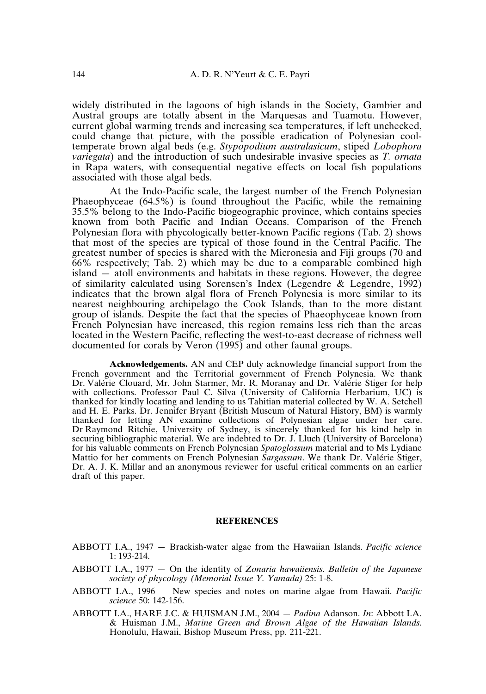widely distributed in the lagoons of high islands in the Society, Gambier and Austral groups are totally absent in the Marquesas and Tuamotu. However, current global warming trends and increasing sea temperatures, if left unchecked, could change that picture, with the possible eradication of Polynesian cooltemperate brown algal beds (e.g. *Stypopodium australasicum*, stiped *Lobophora variegata*) and the introduction of such undesirable invasive species as *T. ornata* in Rapa waters, with consequential negative effects on local fish populations associated with those algal beds.

At the Indo-Pacific scale, the largest number of the French Polynesian Phaeophyceae (64.5%) is found throughout the Pacific, while the remaining 35.5% belong to the Indo-Pacific biogeographic province, which contains species known from both Pacific and Indian Oceans. Comparison of the French Polynesian flora with phycologically better-known Pacific regions (Tab. 2) shows that most of the species are typical of those found in the Central Pacific. The greatest number of species is shared with the Micronesia and Fiji groups (70 and 66% respectively; Tab. 2) which may be due to a comparable combined high island — atoll environments and habitats in these regions. However, the degree of similarity calculated using Sorensen's Index (Legendre & Legendre, 1992) indicates that the brown algal flora of French Polynesia is more similar to its nearest neighbouring archipelago the Cook Islands, than to the more distant group of islands. Despite the fact that the species of Phaeophyceae known from French Polynesian have increased, this region remains less rich than the areas located in the Western Pacific, reflecting the west-to-east decrease of richness well documented for corals by Veron (1995) and other faunal groups.

**Acknowledgements.** AN and CEP duly acknowledge financial support from the French government and the Territorial government of French Polynesia. We thank Dr. Valérie Clouard, Mr. John Starmer, Mr. R. Moranay and Dr. Valérie Stiger for help with collections. Professor Paul C. Silva (University of California Herbarium, UC) is thanked for kindly locating and lending to us Tahitian material collected by W. A. Setchell and H. E. Parks. Dr. Jennifer Bryant (British Museum of Natural History, BM) is warmly thanked for letting AN examine collections of Polynesian algae under her care. Dr Raymond Ritchie, University of Sydney, is sincerely thanked for his kind help in securing bibliographic material. We are indebted to Dr. J. Lluch (University of Barcelona) for his valuable comments on French Polynesian *Spatoglossum* material and to Ms Lydiane Mattio for her comments on French Polynesian *Sargassum*. We thank Dr. Valérie Stiger, Dr. A. J. K. Millar and an anonymous reviewer for useful critical comments on an earlier draft of this paper.

#### **REFERENCES**

ABBOTT I.A., 1947 — Brackish-water algae from the Hawaiian Islands. *Pacific science* 1: 193-214.

- ABBOTT I.A., 1977 On the identity of *Zonaria hawaiiensis*. *Bulletin of the Japanese society of phycology (Memorial Issue Y. Yamada)* 25: 1-8.
- ABBOTT I.A., 1996 New species and notes on marine algae from Hawaii. *Pacific science* 50: 142-156.
- ABBOTT I.A., HARE J.C. & HUISMAN J.M., 2004 *Padina* Adanson. *In*: Abbott I.A. & Huisman J.M., *Marine Green and Brown Algae of the Hawaiian Islands*. Honolulu, Hawaii, Bishop Museum Press, pp. 211-221.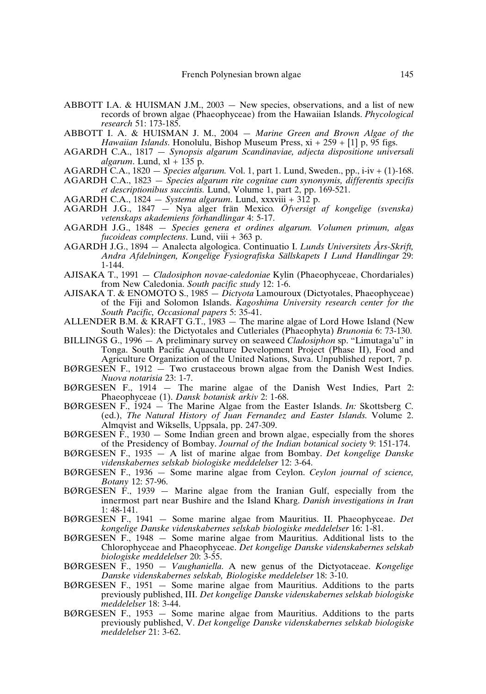- ABBOTT I.A. & HUISMAN J.M., 2003 New species, observations, and a list of new records of brown algae (Phaeophyceae) from the Hawaiian Islands. *Phycological research* 51: 173-185.
- ABBOTT I. A. & HUISMAN J. M., 2004 *Marine Green and Brown Algae of the Hawaiian Islands*. Honolulu, Bishop Museum Press, xi + 259 + [1] p, 95 figs.
- AGARDH C.A., 1817 *Synopsis algarum Scandinaviae, adjecta dispositione universali algarum*. Lund, xl + 135 p.
- AGARDH C.A., 1820 *Species algarum.* Vol. 1, part 1. Lund, Sweden., pp., i-iv + (1)-168.
- AGARDH C.A., 1823 *Species algarum rite cognitae cum synonymis, differentis specifis et descriptionibus succintis.* Lund, Volume 1, part 2, pp. 169-521.
- AGARDH C.A., 1824 *Systema algarum*. Lund, xxxviii + 312 p.
- AGARDH J.G., 1847 Nya alger frän Mexico*. Öfversigt af kongelige (svenska) vetenskaps akademiens förhandlingar* 4: 5-17.
- AGARDH J.G., 1848 *Species genera et ordines algarum. Volumen primum, algas fucoideas complectens*. Lund, viii + 363 p.
- AGARDH J.G., 1894 *—* Analecta algologica. Continuatio I. *Lunds Universitets Års-Skrift, Andra Afdelningen, Kongelige Fysiografiska Sällskapets I Lund Handlingar* 29: 1-144.
- AJISAKA T., 1991 *Cladosiphon novae-caledoniae* Kylin (Phaeophyceae, Chordariales) from New Caledonia. *South pacific study* 12: 1-6.
- AJISAKA T. & ENOMOTO S., 1985 *Dictyota* Lamouroux (Dictyotales, Phaeophyceae) of the Fiji and Solomon Islands. *Kagoshima University research center for the South Pacific, Occasional papers* 5: 35-41.
- ALLENDER B.M. & KRAFT G.T., 1983 The marine algae of Lord Howe Island (New South Wales): the Dictyotales and Cutleriales (Phaeophyta) *Brunonia* 6: 73-130.
- BILLINGS G., 1996 A preliminary survey on seaweed *Cladosiphon* sp. "Limutaga'u" in Tonga. South Pacific Aquaculture Development Project (Phase II), Food and Agriculture Organization of the United Nations, Suva. Unpublished report, 7 p.
- BØRGESEN F., 1912  $-$  Two crustaceous brown algae from the Danish West Indies. *Nuova notarisia* 23: 1-7.
- BØRGESEN F., 1914 The marine algae of the Danish West Indies, Part 2: Phaeophyceae (1). *Dansk botanisk arkiv* 2: 1-68.
- BØRGESEN F., 1924 The Marine Algae from the Easter Islands. *In:* Skottsberg C. (ed.), *The Natural History of Juan Fernandez and Easter Islands*. Volume 2. Almqvist and Wiksells, Uppsala, pp. 247-309.
- BØRGESEN  $\hat{F}$ , 1930 Some Indian green and brown algae, especially from the shores of the Presidency of Bombay. *Journal of the Indian botanical society* 9: 151-174.
- BØRGESEN F., 1935 A list of marine algae from Bombay. *Det kongelige Danske videnskabernes selskab biologiske meddelelser* 12: 3-64.
- BØRGESEN F., 1936 Some marine algae from Ceylon. *Ceylon journal of science, Botany* 12: 57-96.
- $BØRGESEN$  F., 1939 Marine algae from the Iranian Gulf, especially from the innermost part near Bushire and the Island Kharg. *Danish investigations in Iran* 1: 48-141.
- BØRGESEN F., 1941 Some marine algae from Mauritius. II. Phaeophyceae. *Det kongelige Danske videnskabernes selskab biologiske meddelelser* 16: 1-81.
- $BØRGESEN$  F., 1948 Some marine algae from Mauritius. Additional lists to the Chlorophyceae and Phaeophyceae. *Det kongelige Danske videnskabernes selskab biologiske meddelelser* 20: 3-55.
- BØRGESEN F., 1950 *Vaughaniella*. A new genus of the Dictyotaceae. *Kongelige Danske videnskabernes selskab, Biologiske meddelelser* 18: 3-10.
- BØRGESEN F., 1951 Some marine algae from Mauritius. Additions to the parts previously published, III. *Det kongelige Danske videnskabernes selskab biologiske meddelelser* 18: 3-44.
- BØRGESEN F., 1953 Some marine algae from Mauritius. Additions to the parts previously published, V. *Det kongelige Danske videnskabernes selskab biologiske meddelelser* 21: 3-62.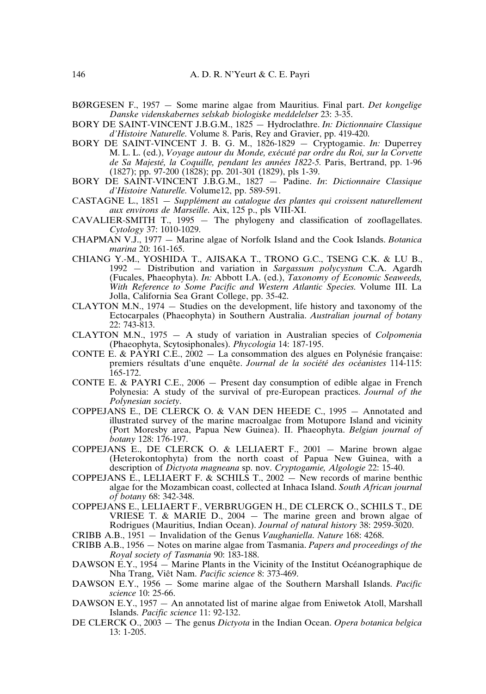- BØRGESEN F., 1957 Some marine algae from Mauritius. Final part. *Det kongelige Danske videnskabernes selskab biologiske meddelelser* 23: 3-35.
- BORY DE SAINT-VINCENT J.B.G.M., 1825 Hydroclathre. *In: Dictionnaire Classique d'Histoire Naturelle*. Volume 8. Paris, Rey and Gravier, pp. 419-420.
- BORY DE SAINT-VINCENT J. B. G. M., 1826-1829 Cryptogamie. *In:* Duperrey M. L. L. (ed.), *Voyage autour du Monde, exécuté par ordre du Roi, sur la Corvette de Sa Majesté, la Coquille, pendant les années 1822-5.* Paris, Bertrand, pp. 1-96 (1827); pp. 97-200 (1828); pp. 201-301 (1829), pls 1-39.
- BORY DE SAINT-VINCENT J.B.G.M., 1827 Padine. *In*: *Dictionnaire Classique d'Histoire Naturelle*. Volume12, pp. 589-591.
- CASTAGNE L., 1851 *Supplément au catalogue des plantes qui croissent naturellement aux environs de Marseille*. Aix, 125 p., pls VIII-XI.
- CAVALIER-SMITH T., 1995 The phylogeny and classification of zooflagellates. *Cytology* 37: 1010-1029.
- CHAPMAN V.J., 1977 Marine algae of Norfolk Island and the Cook Islands. *Botanica marina* 20: 161-165.
- CHIANG Y.-M., YOSHIDA T., AJISAKA T., TRONO G.C., TSENG C.K. & LU B., 1992 — Distribution and variation in *Sargassum polycystum* C.A. Agardh (Fucales, Phaeophyta). *In:* Abbott I.A. (ed.), *Taxonomy of Economic Seaweeds, With Reference to Some Pacific and Western Atlantic Species*. Volume III. La Jolla, California Sea Grant College, pp. 35-42.
- CLAYTON M.N., 1974 Studies on the development, life history and taxonomy of the Ectocarpales (Phaeophyta) in Southern Australia. *Australian journal of botany* 22: 743-813.
- CLAYTON M.N., 1975 A study of variation in Australian species of *Colpomenia* (Phaeophyta, Scytosiphonales). *Phycologia* 14: 187-195.
- CONTE E. & PAYRI C.E.,  $2002 La$  consommation des algues en Polynésie française: premiers résultats d'une enquête. *Journal de la société des océanistes* 114-115: 165-172.
- CONTE E. & PAYRI C.E., 2006 Present day consumption of edible algae in French Polynesia: A study of the survival of pre-European practices. *Journal of the Polynesian society*.
- COPPEJANS E., DE CLERCK O. & VAN DEN HEEDE C., 1995 Annotated and illustrated survey of the marine macroalgae from Motupore Island and vicinity (Port Moresby area, Papua New Guinea). II. Phaeophyta. *Belgian journal of botany* 128: 176-197.
- COPPEJANS E., DE CLERCK O. & LELIAERT F., 2001 Marine brown algae (Heterokontophyta) from the north coast of Papua New Guinea, with a description of *Dictyota magneana* sp. nov. *Cryptogamie, Algologie* 22: 15-40.
- COPPEJANS E., LELIAERT F. & SCHILS T.,  $2002 -$  New records of marine benthic algae for the Mozambican coast, collected at Inhaca Island. *South African journal of botany* 68: 342-348.
- COPPEJANS E., LELIAERT F., VERBRUGGEN H., DE CLERCK O., SCHILS T., DE VRIESE T.  $\&$  MARIE D., 2004 – The marine green and brown algae of Rodrigues (Mauritius, Indian Ocean). *Journal of natural history* 38: 2959-3020.
- CRIBB A.B., 1951 Invalidation of the Genus *Vaughaniella*. *Nature* 168: 4268.
- CRIBB A.B., 1956 Notes on marine algae from Tasmania. *Papers and proceedings of the Royal society of Tasmania* 90: 183-188.
- DAWSON E.Y., 1954 Marine Plants in the Vicinity of the Institut Océanographique de Nha Trang, Viêt Nam. *Pacific science* 8: 373-469.
- DAWSON E.Y., 1956 Some marine algae of the Southern Marshall Islands. *Pacific science* 10: 25-66.
- DAWSON E.Y., 1957 An annotated list of marine algae from Eniwetok Atoll, Marshall Islands. *Pacific science* 11: 92-132.
- DE CLERCK O., 2003 The genus *Dictyota* in the Indian Ocean. *Opera botanica belgica* 13: 1-205.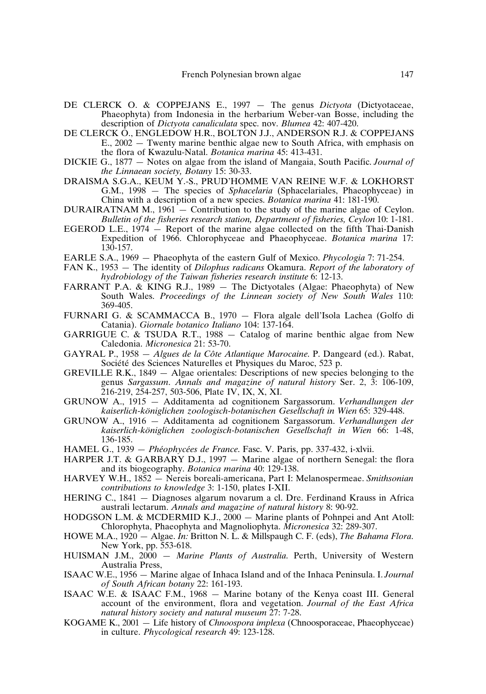- DE CLERCK O. & COPPEJANS E., 1997 The genus *Dictyota* (Dictyotaceae, Phaeophyta) from Indonesia in the herbarium Weber-van Bosse, including the description of *Dictyota canaliculata* spec. nov. *Blumea* 42: 407-420.
- DE CLERCK O., ENGLEDOW H.R., BOLTON J.J., ANDERSON R.J. & COPPEJANS E., 2002 — Twenty marine benthic algae new to South Africa, with emphasis on the flora of Kwazulu-Natal. *Botanica marina* 45: 413-431.
- DICKIE G., 1877 Notes on algae from the island of Mangaia, South Pacific. *Journal of the Linnaean society, Botany* 15: 30-33.
- DRAISMA S.G.A., KEUM Y.-S., PRUD'HOMME VAN REINE W.F. & LOKHORST G.M., 1998 — The species of *Sphacelaria* (Sphacelariales, Phaeophyceae) in China with a description of a new species. *Botanica marina* 41: 181-190.
- DURAIRATNAM M., 1961 Contribution to the study of the marine algae of Ceylon. *Bulletin of the fisheries research station, Department of fisheries, Ceylon* 10: 1-181.
- EGEROD L.E., 1974 Report of the marine algae collected on the fifth Thai-Danish Expedition of 1966. Chlorophyceae and Phaeophyceae. *Botanica marina* 17: 130-157.
- EARLE S.A., 1969 Phaeophyta of the eastern Gulf of Mexico. *Phycologia* 7: 71-254.
- FAN K., 1953 The identity of *Dilophus radicans* Okamura. *Report of the laboratory of hydrobiology of the Taiwan fisheries research institute* 6: 12-13.
- FARRANT P.A. & KING R.J., 1989 The Dictyotales (Algae: Phaeophyta) of New South Wales. *Proceedings of the Linnean society of New South Wales* 110: 369-405.
- FURNARI G. & SCAMMACCA B., 1970 Flora algale dell'Isola Lachea (Golfo di Catania). *Giornale botanico Italiano* 104: 137-164.
- GARRIGUE C. & TSUDA R.T., 1988 Catalog of marine benthic algae from New Caledonia. *Micronesica* 21: 53-70.
- GAYRAL P., 1958 *Algues de la Côte Atlantique Marocaine*. P. Dangeard (ed.). Rabat, Société des Sciences Naturelles et Physiques du Maroc, 523 p.
- GREVILLE R.K., 1849 Algae orientales: Descriptions of new species belonging to the genus *Sargassum*. *Annals and magazine of natural history* Ser. 2, 3: 106-109, 216-219, 254-257, 503-506, Plate IV, IX, X, XI.
- GRUNOW A., 1915 Additamenta ad cognitionem Sargassorum. *Verhandlungen der kaiserlich-königlichen zoologisch-botanischen Gesellschaft in Wien* 65: 329-448.
- GRUNOW A., 1916 Additamenta ad cognitionem Sargassorum. *Verhandlungen der kaiserlich-königlichen zoologisch-botanischen Gesellschaft in Wien* 66: 1-48, 136-185.
- HAMEL G., 1939 *Phéophycées de France*. Fasc. V. Paris, pp. 337-432, i-xlvii.
- HARPER J.T. & GARBARY D.J., 1997 Marine algae of northern Senegal: the flora and its biogeography. *Botanica marina* 40: 129-138.
- HARVEY W.H., 1852 Nereis boreali-americana, Part I: Melanospermeae. *Smithsonian contributions to knowledge* 3: 1-150, plates I-XII.
- HERING C., 1841 Diagnoses algarum novarum a cl. Dre. Ferdinand Krauss in Africa australi lectarum. *Annals and magazine of natural history* 8: 90-92.
- HODGSON L.M. & MCDERMID K.J., 2000 Marine plants of Pohnpei and Ant Atoll: Chlorophyta, Phaeophyta and Magnoliophyta. *Micronesica* 32: 289-307.
- HOWE M.A., 1920 Algae. *In:* Britton N. L. & Millspaugh C. F. (eds), *The Bahama Flora*. New York, pp. 553-618.
- HUISMAN J.M., 2000 *Marine Plants of Australia*. Perth, University of Western Australia Press,
- ISAAC W.E., 1956 Marine algae of Inhaca Island and of the Inhaca Peninsula. I. *Journal of South African botany* 22: 161-193.
- ISAAC W.E. & ISAAC F.M., 1968 Marine botany of the Kenya coast III. General account of the environment, flora and vegetation. *Journal of the East Africa natural history society and natural museum* 27: 7-28.
- KOGAME K., 2001 Life history of *Chnoospora implexa* (Chnoosporaceae, Phaeophyceae) in culture. *Phycological research* 49: 123-128.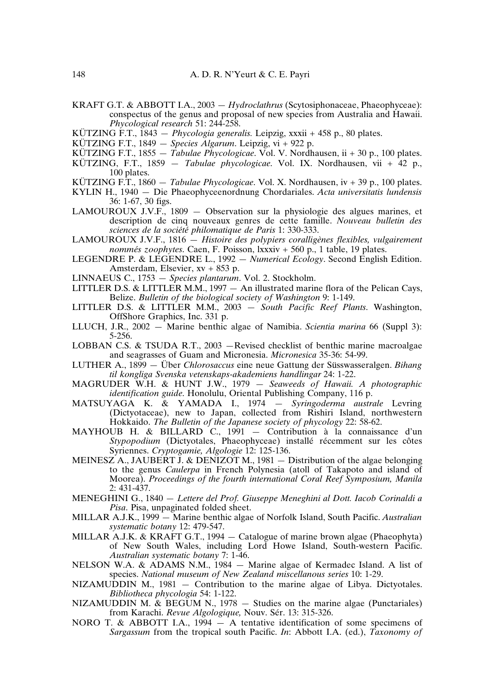KRAFT G.T. & ABBOTT I.A., 2003 — *Hydroclathrus* (Scytosiphonaceae, Phaeophyceae): conspectus of the genus and proposal of new species from Australia and Hawaii. *Phycological research* 51: 244-258.

KÜTZING F.T., 1843 — *Phycologia generalis.* Leipzig, xxxii + 458 p., 80 plates.

- KÜTZING F.T., 1849 *Species Algarum*. Leipzig, vi + 922 p.
- KÜTZING F.T., 1855 *Tabulae Phycologicae*. Vol. V. Nordhausen, ii + 30 p., 100 plates. KÜTZING, F.T., 1859 — *Tabulae phycologicae*. Vol. IX. Nordhausen, vii + 42 p.,
- 100 plates.

KÜTZING F.T., 1860 — *Tabulae Phycologicae*. Vol. X. Nordhausen, iv + 39 p., 100 plates.

- KYLIN H., 1940 Die Phaeophyceenordnung Chordariales. *Acta universitatis lundensis* 36: 1-67, 30 figs.
- LAMOUROUX J.V.F., 1809 Observation sur la physiologie des algues marines, et description de cinq nouveaux genres de cette famille. *Nouveau bulletin des sciences de la société philomatique de Paris* 1: 330-333.
- LAMOUROUX J.V.F., 1816 *Histoire des polypiers coralligènes flexibles, vulgairement nommés zoophytes*. Caen, F. Poisson, lxxxiv + 560 p., 1 table, 19 plates.
- LEGENDRE P. & LEGENDRE L., 1992 *Numerical Ecology*. Second English Edition. Amsterdam, Elsevier, xv + 853 p.
- LINNAEUS C., 1753 *Species plantarum*. Vol. 2. Stockholm.
- LITTLER D.S. & LITTLER M.M., 1997 An illustrated marine flora of the Pelican Cays, Belize. *Bulletin of the biological society of Washington* 9: 1-149.
- LITTLER D.S. & LITTLER M.M., 2003 *South Pacific Reef Plants*. Washington, OffShore Graphics, Inc. 331 p.
- LLUCH, J.R., 2002 Marine benthic algae of Namibia. *Scientia marina* 66 (Suppl 3): 5-256.
- LOBBAN C.S. & TSUDA R.T., 2003 —Revised checklist of benthic marine macroalgae and seagrasses of Guam and Micronesia. *Micronesica* 35-36: 54-99.
- LUTHER A., 1899 Über *Chlorosaccus* eine neue Gattung der Süsswasseralgen. *Bihang til kongliga Svenska vetenskaps-akademiens handlingar* 24: 1-22.
- MAGRUDER W.H. & HUNT J.W., 1979 *Seaweeds of Hawaii. A photographic identification guide*. Honolulu, Oriental Publishing Company, 116 p.
- MATSUYAGA K. & YAMADA I., 1974 *Syringoderma australe* Levring (Dictyotaceae), new to Japan, collected from Rishiri Island, northwestern Hokkaido. *The Bulletin of the Japanese society of phycology* 22: 58-62.
- MAYHOUB H. & BILLARD C., 1991 Contribution à la connaissance d'un *Stypopodium* (Dictyotales, Phaeophyceae) installé récemment sur les côtes Syriennes. *Cryptogamie, Algologie* 12: 125-136.
- MEINESZ A., JAUBERT J. & DENIZOT M., 1981 Distribution of the algae belonging to the genus *Caulerpa* in French Polynesia (atoll of Takapoto and island of Moorea). *Proceedings of the fourth international Coral Reef Symposium, Manila* 2: 431-437.
- MENEGHINI G., 1840 *Lettere del Prof. Giuseppe Meneghini al Dott. Iacob Corinaldi a Pisa*. Pisa, unpaginated folded sheet.
- MILLAR A.J.K., 1999 Marine benthic algae of Norfolk Island, South Pacific. *Australian systematic botany* 12: 479-547.
- MILLAR A.J.K. & KRAFT G.T., 1994 Catalogue of marine brown algae (Phaeophyta) of New South Wales, including Lord Howe Island, South-western Pacific. *Australian systematic botany* 7: 1-46.
- NELSON W.A. & ADAMS N.M., 1984 Marine algae of Kermadec Island. A list of species. *National museum of New Zealand miscellanous series* 10: 1-29.
- NIZAMUDDIN M., 1981 Contribution to the marine algae of Libya. Dictyotales. *Bibliotheca phycologia* 54: 1-122.
- NIZAMUDDIN M. & BEGUM N.,  $1978 -$  Studies on the marine algae (Punctariales) from Karachi. *Revue Algologique,* Nouv. Sér. 13: 315-326.
- NORO T. & ABBOTT I.A.,  $1994 A$  tentative identification of some specimens of *Sargassum* from the tropical south Pacific. *In*: Abbott I.A. (ed.), *Taxonomy of*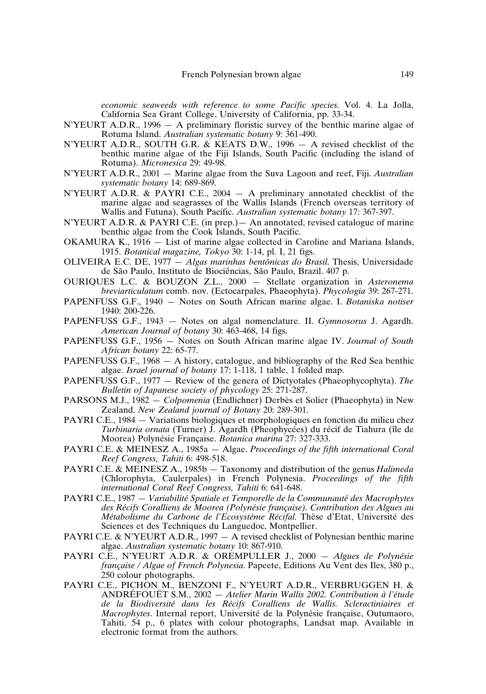*economic seaweeds with reference to some Pacific species*. Vol. 4. La Jolla, California Sea Grant College, University of California, pp. 33-34.

- N'YEURT A.D.R., 1996 A preliminary floristic survey of the benthic marine algae of Rotuma Island. *Australian systematic botany* 9: 361-490.
- N'YEURT A.D.R., SOUTH G.R. & KEATS D.W., 1996 A revised checklist of the benthic marine algae of the Fiji Islands, South Pacific (including the island of Rotuma). *Micronesica* 29: 49-98.
- N'YEURT A.D.R., 2001 Marine algae from the Suva Lagoon and reef, Fiji. *Australian systematic botany* 14: 689-869.
- N'YEURT A.D.R. & PAYRI C.E., 2004 A preliminary annotated checklist of the marine algae and seagrasses of the Wallis Islands (French overseas territory of Wallis and Futuna), South Pacific. *Australian systematic botany* 17: 367-397.
- N'YEURT A.D.R. & PAYRI C.E. (in prep.)— An annotated, revised catalogue of marine benthic algae from the Cook Islands, South Pacific.
- OKAMURA K., 1916 List of marine algae collected in Caroline and Mariana Islands, 1915. *Botanical magazine, Tokyo* 30: 1-14, pl. I, 21 figs.
- OLIVEIRA E.C. DE, 1977 *Algas marinhas bentônicas do Brasil*. Thesis, Universidade de São Paulo, Instituto de Biociências, São Paulo, Brazil. 407 p.
- OURIQUES L.C. & BOUZON Z.L., 2000 Stellate organization in *Asteronema breviarticulatum* comb. nov. (Ectocarpales, Phaeophyta). *Phycologia* 39: 267-271.
- PAPENFUSS G.F., 1940 Notes on South African marine algae. I. *Botaniska notiser* 1940: 200-226.
- PAPENFUSS G.F., 1943 Notes on algal nomenclature. II. *Gymnosorus* J. Agardh. *American Journal of botany* 30: 463-468, 14 figs.
- PAPENFUSS G.F., 1956 Notes on South African marine algae IV. *Journal of South African botany* 22: 65-77.
- PAPENFUSS G.F., 1968 A history, catalogue, and bibliography of the Red Sea benthic algae. *Israel journal of botany* 17: 1-118, 1 table, 1 folded map.
- PAPENFUSS G.F., 1977 Review of the genera of Dictyotales (Phaeophycophyta). *The Bulletin of Japanese society of phycology* 25: 271-287.
- PARSONS M.J., 1982 *Colpomenia* (Endlichner) Derbès et Solier (Phaeophyta) in New Zealand. *New Zealand journal of Botany* 20: 289-301.
- PAYRI C.E., 1984 Variations biologiques et morphologiques en fonction du milieu chez *Turbinaria ornata* (Turner) J. Agardh (Pheophycées) du récif de Tiahura (île de Moorea) Polynésie Française. *Botanica marina* 27: 327-333.
- PAYRI C.E. & MEINESZ A., 1985a Algae. *Proceedings of the fifth international Coral Reef Congress, Tahiti* 6: 498-518.
- PAYRI C.E. & MEINESZ A., 1985b Taxonomy and distribution of the genus *Halimeda* (Chlorophyta, Caulerpales) in French Polynesia. *Proceedings of the fifth international Coral Reef Congress, Tahiti* 6: 641-648.
- PAYRI C.E., 1987 *Variabilité Spatiale et Temporelle de la Communauté des Macrophytes des Récifs Coralliens de Moorea (Polynésie française). Contribution des Algues au Métabolisme du Carbone de l'Ecosystème Récifal*. Thèse d'Etat, Université des Sciences et des Techniques du Languedoc, Montpellier.
- PAYRI C.E. & N'YEURT A.D.R., 1997 A revised checklist of Polynesian benthic marine algae. *Australian systematic botany* 10: 867-910.
- PAYRI C.E., N'YEURT A.D.R. & OREMPULLER J., 2000 *Algues de Polynésie française / Algae of French Polynesia*. Papeete, Editions Au Vent des Iles, 380 p., 250 colour photographs.
- PAYRI C.E., PICHON M., BENZONI F., N'YEURT A.D.R., VERBRUGGEN H. & ANDRÉFOUËT S.M., 2002 — *Atelier Marin Wallis 2002. Contribution à l'étude de la Biodiversité dans les Récifs Coralliens de Wallis. Scleractiniaires et Macrophytes*. Internal report, Université de la Polynésie française, Outumaoro, Tahiti. 54 p., 6 plates with colour photographs, Landsat map. Available in electronic format from the authors.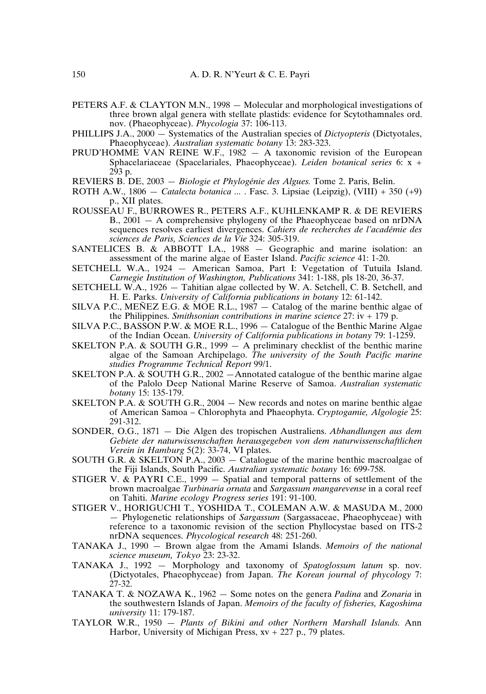- PETERS A.F. & CLAYTON M.N., 1998 Molecular and morphological investigations of three brown algal genera with stellate plastids: evidence for Scytothamnales ord. nov. (Phaeophyceae). *Phycologia* 37: 106-113.
- PHILLIPS J.A., 2000 Systematics of the Australian species of *Dictyopteris* (Dictyotales, Phaeophyceae). *Australian systematic botany* 13: 283-323.
- PRUD'HOMME VAN REINE W.F., 1982 A taxonomic revision of the European Sphacelariaceae (Spacelariales, Phaeophyceae). *Leiden botanical series* 6: x + 293 p.

REVIERS B. DE, 2003 — *Biologie et Phylogénie des Algues.* Tome 2. Paris, Belin.

- ROTH A.W., 1806 *Catalecta botanica ...* . Fasc. 3. Lipsiae (Leipzig), (VIII) + 350 (+9) p., XII plates.
- ROUSSEAU F., BURROWES R., PETERS A.F., KUHLENKAMP R. & DE REVIERS B., 2001 — A comprehensive phylogeny of the Phaeophyceae based on nrDNA sequences resolves earliest divergences. *Cahiers de recherches de l'académie des sciences de Paris, Sciences de la Vie* 324: 305-319.
- SANTELICES B. & ABBOTT I.A., 1988 Geographic and marine isolation: an assessment of the marine algae of Easter Island. *Pacific science* 41: 1-20.
- SETCHELL W.A., 1924 American Samoa, Part I: Vegetation of Tutuila Island. *Carnegie Institution of Washington, Publications* 341: 1-188, pls 18-20, 36-37.
- SETCHELL W.A., 1926 Tahitian algae collected by W. A. Setchell, C. B. Setchell, and H. E. Parks. *University of California publications in botany* 12: 61-142.
- SILVA P.C., MEÑEZ E.G. & MOE R.L., 1987 Catalog of the marine benthic algae of the Philippines. *Smithsonian contributions in marine science* 27: iv + 179 p.
- SILVA P.C., BASSON P.W. & MOE R.L., 1996 Catalogue of the Benthic Marine Algae of the Indian Ocean. *University of California publications in botany* 79: 1-1259.
- SKELTON P.A. & SOUTH G.R., 1999 A preliminary checklist of the benthic marine algae of the Samoan Archipelago. *The university of the South Pacific marine studies Programme Technical Report* 99/1.
- SKELTON P.A. & SOUTH G.R., 2002 Annotated catalogue of the benthic marine algae of the Palolo Deep National Marine Reserve of Samoa. *Australian systematic botany* 15: 135-179.
- SKELTON P.A. & SOUTH G.R., 2004 New records and notes on marine benthic algae of American Samoa – Chlorophyta and Phaeophyta. *Cryptogamie, Algologie* 25: 291-312.
- SONDER, O.G., 1871 Die Algen des tropischen Australiens. *Abhandlungen aus dem Gebiete der naturwissenschaften herausgegeben von dem naturwissenschaftlichen Verein in Hamburg* 5(2): 33-74, VI plates.
- SOUTH G.R. & SKELTON P.A., 2003 Catalogue of the marine benthic macroalgae of the Fiji Islands, South Pacific. *Australian systematic botany* 16: 699-758.
- STIGER V. & PAYRI C.E., 1999 Spatial and temporal patterns of settlement of the brown macroalgae *Turbinaria ornata* and *Sargassum mangarevense* in a coral reef on Tahiti. *Marine ecology Progress series* 191: 91-100.
- STIGER V., HORIGUCHI T., YOSHIDA T., COLEMAN A.W. & MASUDA M., 2000 — Phylogenetic relationships of *Sargassum* (Sargassaceae, Phaeophyceae) with reference to a taxonomic revision of the section Phyllocystae based on ITS-2 nrDNA sequences. *Phycological research* 48: 251-260.
- TANAKA J., 1990 Brown algae from the Amami Islands. *Memoirs of the national science museum, Tokyo* 23: 23-32.
- TANAKA J., 1992 Morphology and taxonomy of *Spatoglossum latum* sp. nov. (Dictyotales, Phaeophyceae) from Japan. *The Korean journal of phycology* 7: 27-32.
- TANAKA T. & NOZAWA K., 1962 Some notes on the genera *Padina* and *Zonaria* in the southwestern Islands of Japan. *Memoirs of the faculty of fisheries, Kagoshima university* 11: 179-187.
- TAYLOR W.R., 1950 *Plants of Bikini and other Northern Marshall Islands*. Ann Harbor, University of Michigan Press,  $xv + 227$  p., 79 plates.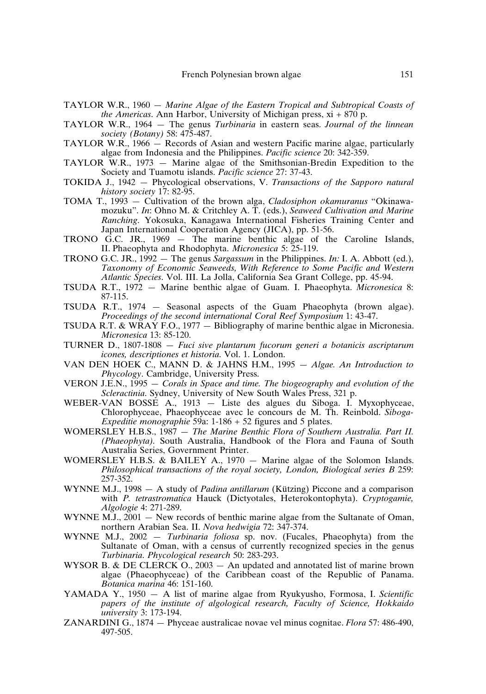- TAYLOR W.R., 1960 *Marine Algae of the Eastern Tropical and Subtropical Coasts of the Americas*. Ann Harbor, University of Michigan press, xi + 870 p.
- TAYLOR W.R., 1964 The genus *Turbinaria* in eastern seas. *Journal of the linnean society (Botany)* 58: 475-487.
- TAYLOR W.R., 1966 Records of Asian and western Pacific marine algae, particularly algae from Indonesia and the Philippines. *Pacific science* 20: 342-359.
- TAYLOR W.R., 1973 Marine algae of the Smithsonian-Bredin Expedition to the Society and Tuamotu islands. *Pacific science* 27: 37-43.
- TOKIDA J., 1942 Phycological observations, V. *Transactions of the Sapporo natural history society* 17: 82-95.
- TOMA T., 1993 Cultivation of the brown alga, *Cladosiphon okamuranus* "Okinawamozuku". *In*: Ohno M. & Critchley A. T. (eds.), *Seaweed Cultivation and Marine Ranching*. Yokosuka, Kanagawa International Fisheries Training Center and Japan International Cooperation Agency (JICA), pp. 51-56.
- TRONO G.C. JR., 1969 The marine benthic algae of the Caroline Islands, II. Phaeophyta and Rhodophyta. *Micronesica* 5: 25-119.
- TRONO G.C. JR., 1992 The genus *Sargassum* in the Philippines. *In:* I. A. Abbott (ed.), *Taxonomy of Economic Seaweeds, With Reference to Some Pacific and Western Atlantic Species*. Vol. III. La Jolla, California Sea Grant College, pp. 45-94.
- TSUDA R.T., 1972 Marine benthic algae of Guam. I. Phaeophyta. *Micronesica* 8: 87-115.
- TSUDA R.T., 1974 Seasonal aspects of the Guam Phaeophyta (brown algae). *Proceedings of the second international Coral Reef Symposium* 1: 43-47.
- TSUDA R.T. & WRAY F.O., 1977 Bibliography of marine benthic algae in Micronesia. *Micronesica* 13: 85-120.
- TURNER D., 1807-1808 *Fuci sive plantarum fucorum generi a botanicis ascriptarum icones, descriptiones et historia*. Vol. 1. London.
- VAN DEN HOEK C., MANN D. & JAHNS H.M., 1995 *Algae. An Introduction to Phycology*. Cambridge, University Press.
- VERON J.E.N., 1995 *Corals in Space and time. The biogeography and evolution of the Scleractinia*. Sydney, University of New South Wales Press, 321 p.
- WEBER-VAN BOSSE A., 1913 Liste des algues du Siboga. I. Myxophyceae, Chlorophyceae, Phaeophyceae avec le concours de M. Th. Reinbold. *Siboga-Expeditie monographie* 59a: 1-186 + 52 figures and 5 plates.
- WOMERSLEY H.B.S., 1987 *The Marine Benthic Flora of Southern Australia. Part II. (Phaeophyta).* South Australia, Handbook of the Flora and Fauna of South Australia Series, Government Printer.
- WOMERSLEY H.B.S. & BAILEY A., 1970 Marine algae of the Solomon Islands. *Philosophical transactions of the royal society, London, Biological series B* 259: 257-352.
- WYNNE M.J., 1998 A study of *Padina antillarum* (Kützing) Piccone and a comparison with *P. tetrastromatica* Hauck (Dictyotales, Heterokontophyta). *Cryptogamie, Algologie* 4: 271-289.
- WYNNE M.J., 2001 New records of benthic marine algae from the Sultanate of Oman, northern Arabian Sea. II. *Nova hedwigia* 72: 347-374.
- WYNNE M.J., 2002 *Turbinaria foliosa* sp. nov. (Fucales, Phaeophyta) from the Sultanate of Oman, with a census of currently recognized species in the genus *Turbinaria*. *Phycological research* 50: 283-293.
- WYSOR B. & DE CLERCK O., 2003 An updated and annotated list of marine brown algae (Phaeophyceae) of the Caribbean coast of the Republic of Panama. *Botanica marina* 46: 151-160.
- YAMADA Y., 1950 A list of marine algae from Ryukyusho, Formosa, I. *Scientific papers of the institute of algological research, Faculty of Science, Hokkaido university* 3: 173-194.
- ZANARDINI G., 1874 Phyceae australicae novae vel minus cognitae. *Flora* 57: 486-490, 497-505.